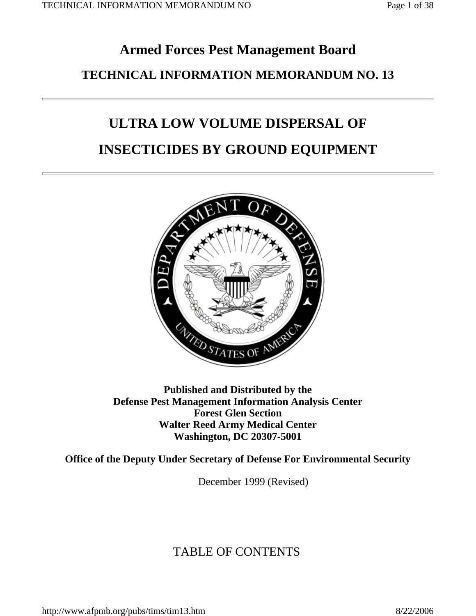## **Armed Forces Pest Management BoardTECHNICAL INFORMATION MEMORANDUM NO. 13**

# **ULTRA LOW VOLUME DISPERSAL OF**

### **INSECTICIDES BY GROUND EQUIPMENT**



**Published and Distributed by the Defense Pest Management Information Analysis Center Forest Glen Section Walter Reed Army Medical Center Washington, DC 20307-5001**

**Office of the Deputy Under Secretary of Defense For Environmental Security**

December 1999 (Revised)

### TABLE OF CONTENTS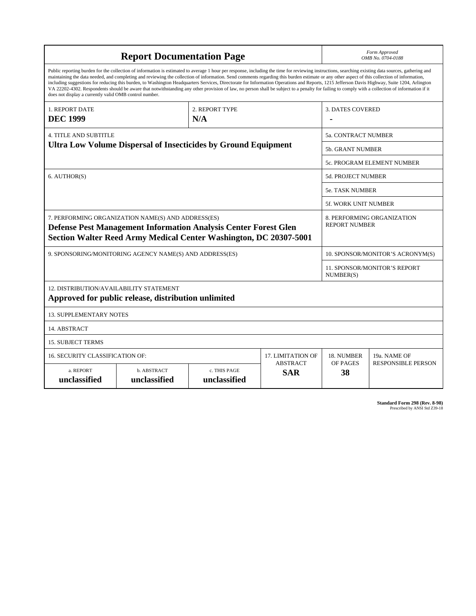| <b>Report Documentation Page</b>                                                                                                                                                                                                                        |                                                                                                                                                                                                                                                                                                                                                                                                                                                                                                                                                                                                                                                                                                                                                                                                          |                         |                           | Form Approved<br>OMB No. 0704-0188        |                                  |
|---------------------------------------------------------------------------------------------------------------------------------------------------------------------------------------------------------------------------------------------------------|----------------------------------------------------------------------------------------------------------------------------------------------------------------------------------------------------------------------------------------------------------------------------------------------------------------------------------------------------------------------------------------------------------------------------------------------------------------------------------------------------------------------------------------------------------------------------------------------------------------------------------------------------------------------------------------------------------------------------------------------------------------------------------------------------------|-------------------------|---------------------------|-------------------------------------------|----------------------------------|
| does not display a currently valid OMB control number.                                                                                                                                                                                                  | Public reporting burden for the collection of information is estimated to average 1 hour per response, including the time for reviewing instructions, searching existing data sources, gathering and<br>maintaining the data needed, and completing and reviewing the collection of information. Send comments regarding this burden estimate or any other aspect of this collection of information,<br>including suggestions for reducing this burden, to Washington Headquarters Services, Directorate for Information Operations and Reports, 1215 Jefferson Davis Highway, Suite 1204, Arlington<br>VA 22202-4302. Respondents should be aware that notwithstanding any other provision of law, no person shall be subject to a penalty for failing to comply with a collection of information if it |                         |                           |                                           |                                  |
| <b>1. REPORT DATE</b><br><b>DEC 1999</b>                                                                                                                                                                                                                |                                                                                                                                                                                                                                                                                                                                                                                                                                                                                                                                                                                                                                                                                                                                                                                                          | <b>3. DATES COVERED</b> |                           |                                           |                                  |
| <b>4. TITLE AND SUBTITLE</b>                                                                                                                                                                                                                            |                                                                                                                                                                                                                                                                                                                                                                                                                                                                                                                                                                                                                                                                                                                                                                                                          |                         |                           | 5a. CONTRACT NUMBER                       |                                  |
|                                                                                                                                                                                                                                                         | <b>Ultra Low Volume Dispersal of Insecticides by Ground Equipment</b>                                                                                                                                                                                                                                                                                                                                                                                                                                                                                                                                                                                                                                                                                                                                    |                         |                           | <b>5b. GRANT NUMBER</b>                   |                                  |
|                                                                                                                                                                                                                                                         |                                                                                                                                                                                                                                                                                                                                                                                                                                                                                                                                                                                                                                                                                                                                                                                                          |                         |                           |                                           | 5c. PROGRAM ELEMENT NUMBER       |
| 6. AUTHOR(S)                                                                                                                                                                                                                                            |                                                                                                                                                                                                                                                                                                                                                                                                                                                                                                                                                                                                                                                                                                                                                                                                          |                         |                           | 5d. PROJECT NUMBER                        |                                  |
|                                                                                                                                                                                                                                                         |                                                                                                                                                                                                                                                                                                                                                                                                                                                                                                                                                                                                                                                                                                                                                                                                          |                         |                           | <b>5e. TASK NUMBER</b>                    |                                  |
|                                                                                                                                                                                                                                                         |                                                                                                                                                                                                                                                                                                                                                                                                                                                                                                                                                                                                                                                                                                                                                                                                          |                         |                           | <b>5f. WORK UNIT NUMBER</b>               |                                  |
| 7. PERFORMING ORGANIZATION NAME(S) AND ADDRESS(ES)<br>8. PERFORMING ORGANIZATION<br><b>REPORT NUMBER</b><br><b>Defense Pest Management Information Analysis Center Forest Glen</b><br>Section Walter Reed Army Medical Center Washington, DC 20307-5001 |                                                                                                                                                                                                                                                                                                                                                                                                                                                                                                                                                                                                                                                                                                                                                                                                          |                         |                           |                                           |                                  |
|                                                                                                                                                                                                                                                         | 9. SPONSORING/MONITORING AGENCY NAME(S) AND ADDRESS(ES)                                                                                                                                                                                                                                                                                                                                                                                                                                                                                                                                                                                                                                                                                                                                                  |                         |                           |                                           | 10. SPONSOR/MONITOR'S ACRONYM(S) |
|                                                                                                                                                                                                                                                         |                                                                                                                                                                                                                                                                                                                                                                                                                                                                                                                                                                                                                                                                                                                                                                                                          |                         |                           | 11. SPONSOR/MONITOR'S REPORT<br>NUMBER(S) |                                  |
| 12. DISTRIBUTION/AVAILABILITY STATEMENT                                                                                                                                                                                                                 | Approved for public release, distribution unlimited                                                                                                                                                                                                                                                                                                                                                                                                                                                                                                                                                                                                                                                                                                                                                      |                         |                           |                                           |                                  |
| <b>13. SUPPLEMENTARY NOTES</b>                                                                                                                                                                                                                          |                                                                                                                                                                                                                                                                                                                                                                                                                                                                                                                                                                                                                                                                                                                                                                                                          |                         |                           |                                           |                                  |
| 14. ABSTRACT                                                                                                                                                                                                                                            |                                                                                                                                                                                                                                                                                                                                                                                                                                                                                                                                                                                                                                                                                                                                                                                                          |                         |                           |                                           |                                  |
| <b>15. SUBJECT TERMS</b>                                                                                                                                                                                                                                |                                                                                                                                                                                                                                                                                                                                                                                                                                                                                                                                                                                                                                                                                                                                                                                                          |                         |                           |                                           |                                  |
| 16. SECURITY CLASSIFICATION OF:                                                                                                                                                                                                                         |                                                                                                                                                                                                                                                                                                                                                                                                                                                                                                                                                                                                                                                                                                                                                                                                          |                         | <b>17. LIMITATION OF</b>  | 18. NUMBER                                | 19a. NAME OF                     |
| <b>ABSTRACT</b><br>a. REPORT<br>b. ABSTRACT<br>c. THIS PAGE<br><b>SAR</b><br>unclassified<br>unclassified<br>unclassified                                                                                                                               |                                                                                                                                                                                                                                                                                                                                                                                                                                                                                                                                                                                                                                                                                                                                                                                                          | OF PAGES<br>38          | <b>RESPONSIBLE PERSON</b> |                                           |                                  |

**Standard Form 298 (Rev. 8-98)**<br>Prescribed by ANSI Std Z39-18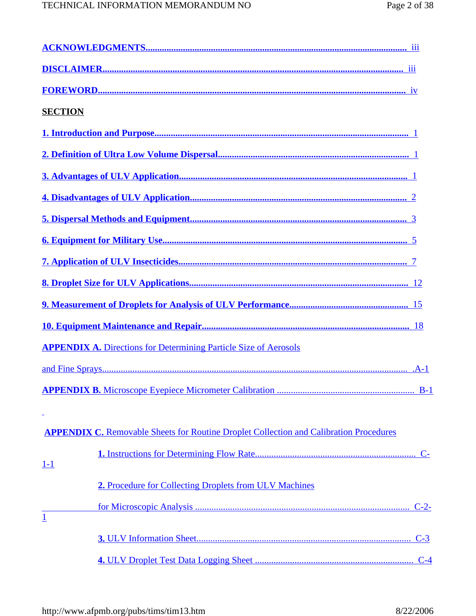| <b>SECTION</b> |                                                                                               |  |
|----------------|-----------------------------------------------------------------------------------------------|--|
|                |                                                                                               |  |
|                |                                                                                               |  |
|                |                                                                                               |  |
|                |                                                                                               |  |
|                |                                                                                               |  |
|                |                                                                                               |  |
|                |                                                                                               |  |
|                |                                                                                               |  |
|                |                                                                                               |  |
|                |                                                                                               |  |
|                | <b>APPENDIX A.</b> Directions for Determining Particle Size of Aerosols                       |  |
|                |                                                                                               |  |
|                |                                                                                               |  |
|                |                                                                                               |  |
|                | <b>APPENDIX C.</b> Removable Sheets for Routine Droplet Collection and Calibration Procedures |  |
| <u>1-1</u>     |                                                                                               |  |
|                | 2. Procedure for Collecting Droplets from ULV Machines                                        |  |
| $\mathbf{1}$   |                                                                                               |  |
|                |                                                                                               |  |
|                |                                                                                               |  |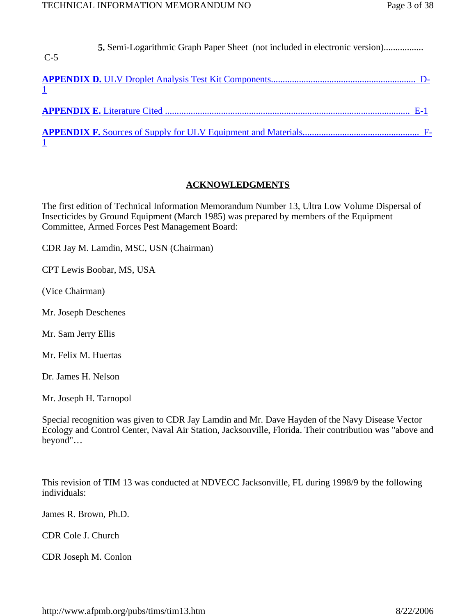| $C-5$ |  |
|-------|--|
|       |  |
|       |  |
|       |  |

### **ACKNOWLEDGMENTS**

The first edition of Technical Information Memorandum Number 13, Ultra Low Volume Dispersal of Insecticides by Ground Equipment (March 1985) was prepared by members of the Equipment Committee, Armed Forces Pest Management Board:

CDR Jay M. Lamdin, MSC, USN (Chairman)

CPT Lewis Boobar, MS, USA

(Vice Chairman)

Mr. Joseph Deschenes

Mr. Sam Jerry Ellis

Mr. Felix M. Huertas

Dr. James H. Nelson

Mr. Joseph H. Tarnopol

Special recognition was given to CDR Jay Lamdin and Mr. Dave Hayden of the Navy Disease Vector Ecology and Control Center, Naval Air Station, Jacksonville, Florida. Their contribution was "above and beyond"…

This revision of TIM 13 was conducted at NDVECC Jacksonville, FL during 1998/9 by the following individuals:

James R. Brown, Ph.D.

CDR Cole J. Church

CDR Joseph M. Conlon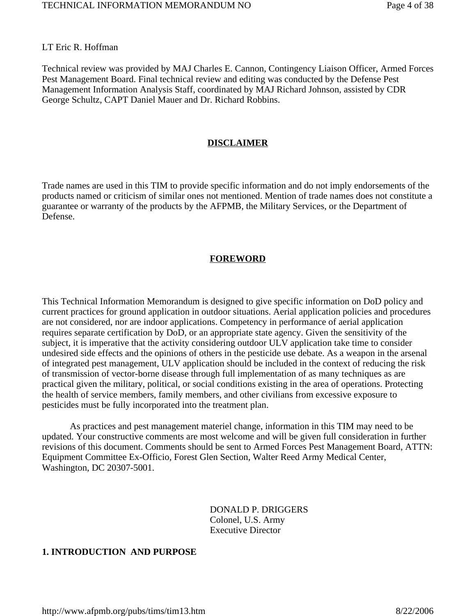LT Eric R. Hoffman

Technical review was provided by MAJ Charles E. Cannon, Contingency Liaison Officer, Armed Forces Pest Management Board. Final technical review and editing was conducted by the Defense Pest Management Information Analysis Staff, coordinated by MAJ Richard Johnson, assisted by CDR George Schultz, CAPT Daniel Mauer and Dr. Richard Robbins.

#### **DISCLAIMER**

Trade names are used in this TIM to provide specific information and do not imply endorsements of the products named or criticism of similar ones not mentioned. Mention of trade names does not constitute a guarantee or warranty of the products by the AFPMB, the Military Services, or the Department of Defense.

#### **FOREWORD**

This Technical Information Memorandum is designed to give specific information on DoD policy and current practices for ground application in outdoor situations. Aerial application policies and procedures are not considered, nor are indoor applications. Competency in performance of aerial application requires separate certification by DoD, or an appropriate state agency. Given the sensitivity of the subject, it is imperative that the activity considering outdoor ULV application take time to consider undesired side effects and the opinions of others in the pesticide use debate. As a weapon in the arsenal of integrated pest management, ULV application should be included in the context of reducing the risk of transmission of vector-borne disease through full implementation of as many techniques as are practical given the military, political, or social conditions existing in the area of operations. Protecting the health of service members, family members, and other civilians from excessive exposure to pesticides must be fully incorporated into the treatment plan.

 As practices and pest management materiel change, information in this TIM may need to be updated. Your constructive comments are most welcome and will be given full consideration in further revisions of this document. Comments should be sent to Armed Forces Pest Management Board, ATTN: Equipment Committee Ex-Officio, Forest Glen Section, Walter Reed Army Medical Center, Washington, DC 20307-5001.

> DONALD P. DRIGGERS Colonel, U.S. Army Executive Director

#### **1. INTRODUCTION AND PURPOSE**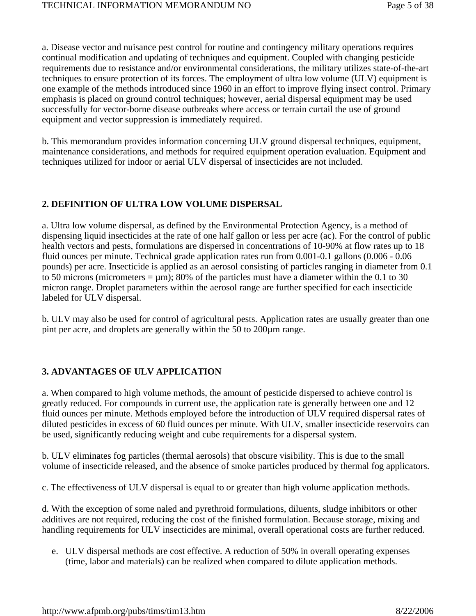a. Disease vector and nuisance pest control for routine and contingency military operations requires continual modification and updating of techniques and equipment. Coupled with changing pesticide requirements due to resistance and/or environmental considerations, the military utilizes state-of-the-art techniques to ensure protection of its forces. The employment of ultra low volume (ULV) equipment is one example of the methods introduced since 1960 in an effort to improve flying insect control. Primary emphasis is placed on ground control techniques; however, aerial dispersal equipment may be used successfully for vector-borne disease outbreaks where access or terrain curtail the use of ground equipment and vector suppression is immediately required.

b. This memorandum provides information concerning ULV ground dispersal techniques, equipment, maintenance considerations, and methods for required equipment operation evaluation. Equipment and techniques utilized for indoor or aerial ULV dispersal of insecticides are not included.

### **2. DEFINITION OF ULTRA LOW VOLUME DISPERSAL**

a. Ultra low volume dispersal, as defined by the Environmental Protection Agency, is a method of dispensing liquid insecticides at the rate of one half gallon or less per acre (ac). For the control of public health vectors and pests, formulations are dispersed in concentrations of 10-90% at flow rates up to 18 fluid ounces per minute. Technical grade application rates run from 0.001-0.1 gallons (0.006 - 0.06 pounds) per acre. Insecticide is applied as an aerosol consisting of particles ranging in diameter from 0.1 to 50 micrometers =  $\mu$ m); 80% of the particles must have a diameter within the 0.1 to 30 micron range. Droplet parameters within the aerosol range are further specified for each insecticide labeled for ULV dispersal.

b. ULV may also be used for control of agricultural pests. Application rates are usually greater than one pint per acre, and droplets are generally within the 50 to 200µm range.

### **3. ADVANTAGES OF ULV APPLICATION**

a. When compared to high volume methods, the amount of pesticide dispersed to achieve control is greatly reduced. For compounds in current use, the application rate is generally between one and 12 fluid ounces per minute. Methods employed before the introduction of ULV required dispersal rates of diluted pesticides in excess of 60 fluid ounces per minute. With ULV, smaller insecticide reservoirs can be used, significantly reducing weight and cube requirements for a dispersal system.

b. ULV eliminates fog particles (thermal aerosols) that obscure visibility. This is due to the small volume of insecticide released, and the absence of smoke particles produced by thermal fog applicators.

c. The effectiveness of ULV dispersal is equal to or greater than high volume application methods.

d. With the exception of some naled and pyrethroid formulations, diluents, sludge inhibitors or other additives are not required, reducing the cost of the finished formulation. Because storage, mixing and handling requirements for ULV insecticides are minimal, overall operational costs are further reduced.

e. ULV dispersal methods are cost effective. A reduction of 50% in overall operating expenses (time, labor and materials) can be realized when compared to dilute application methods.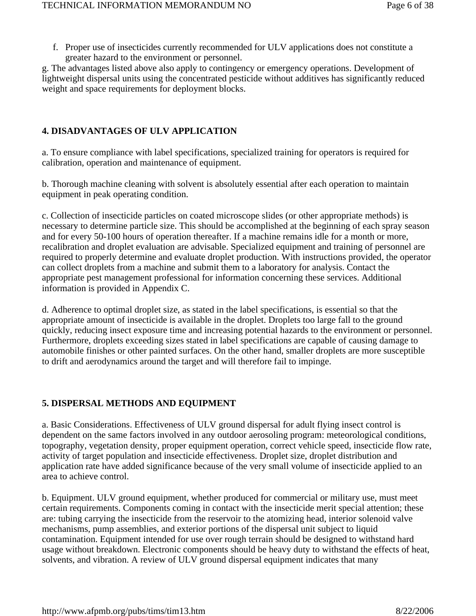f. Proper use of insecticides currently recommended for ULV applications does not constitute a greater hazard to the environment or personnel.

g. The advantages listed above also apply to contingency or emergency operations. Development of lightweight dispersal units using the concentrated pesticide without additives has significantly reduced weight and space requirements for deployment blocks.

#### **4. DISADVANTAGES OF ULV APPLICATION**

a. To ensure compliance with label specifications, specialized training for operators is required for calibration, operation and maintenance of equipment.

b. Thorough machine cleaning with solvent is absolutely essential after each operation to maintain equipment in peak operating condition.

c. Collection of insecticide particles on coated microscope slides (or other appropriate methods) is necessary to determine particle size. This should be accomplished at the beginning of each spray season and for every 50-100 hours of operation thereafter. If a machine remains idle for a month or more, recalibration and droplet evaluation are advisable. Specialized equipment and training of personnel are required to properly determine and evaluate droplet production. With instructions provided, the operator can collect droplets from a machine and submit them to a laboratory for analysis. Contact the appropriate pest management professional for information concerning these services. Additional information is provided in Appendix C.

d. Adherence to optimal droplet size, as stated in the label specifications, is essential so that the appropriate amount of insecticide is available in the droplet. Droplets too large fall to the ground quickly, reducing insect exposure time and increasing potential hazards to the environment or personnel. Furthermore, droplets exceeding sizes stated in label specifications are capable of causing damage to automobile finishes or other painted surfaces. On the other hand, smaller droplets are more susceptible to drift and aerodynamics around the target and will therefore fail to impinge.

### **5. DISPERSAL METHODS AND EQUIPMENT**

a. Basic Considerations. Effectiveness of ULV ground dispersal for adult flying insect control is dependent on the same factors involved in any outdoor aerosoling program: meteorological conditions, topography, vegetation density, proper equipment operation, correct vehicle speed, insecticide flow rate, activity of target population and insecticide effectiveness. Droplet size, droplet distribution and application rate have added significance because of the very small volume of insecticide applied to an area to achieve control.

b. Equipment. ULV ground equipment, whether produced for commercial or military use, must meet certain requirements. Components coming in contact with the insecticide merit special attention; these are: tubing carrying the insecticide from the reservoir to the atomizing head, interior solenoid valve mechanisms, pump assemblies, and exterior portions of the dispersal unit subject to liquid contamination. Equipment intended for use over rough terrain should be designed to withstand hard usage without breakdown. Electronic components should be heavy duty to withstand the effects of heat, solvents, and vibration. A review of ULV ground dispersal equipment indicates that many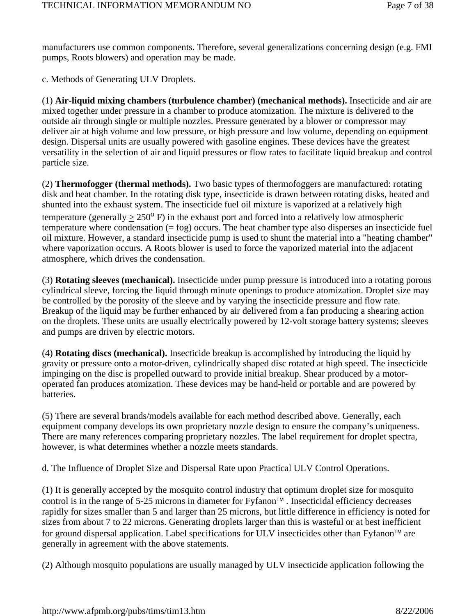manufacturers use common components. Therefore, several generalizations concerning design (e.g. FMI pumps, Roots blowers) and operation may be made.

c. Methods of Generating ULV Droplets.

(1) **Air-liquid mixing chambers (turbulence chamber) (mechanical methods).** Insecticide and air are mixed together under pressure in a chamber to produce atomization. The mixture is delivered to the outside air through single or multiple nozzles. Pressure generated by a blower or compressor may deliver air at high volume and low pressure, or high pressure and low volume, depending on equipment design. Dispersal units are usually powered with gasoline engines. These devices have the greatest versatility in the selection of air and liquid pressures or flow rates to facilitate liquid breakup and control particle size.

(2) **Thermofogger (thermal methods).** Two basic types of thermofoggers are manufactured: rotating disk and heat chamber. In the rotating disk type, insecticide is drawn between rotating disks, heated and shunted into the exhaust system. The insecticide fuel oil mixture is vaporized at a relatively high temperature (generally  $\geq 250^{\circ}$  F) in the exhaust port and forced into a relatively low atmospheric temperature where condensation  $(=\text{fog})$  occurs. The heat chamber type also disperses an insecticide fuel oil mixture. However, a standard insecticide pump is used to shunt the material into a "heating chamber" where vaporization occurs. A Roots blower is used to force the vaporized material into the adjacent atmosphere, which drives the condensation.

(3) **Rotating sleeves (mechanical).** Insecticide under pump pressure is introduced into a rotating porous cylindrical sleeve, forcing the liquid through minute openings to produce atomization. Droplet size may be controlled by the porosity of the sleeve and by varying the insecticide pressure and flow rate. Breakup of the liquid may be further enhanced by air delivered from a fan producing a shearing action on the droplets. These units are usually electrically powered by 12-volt storage battery systems; sleeves and pumps are driven by electric motors.

(4) **Rotating discs (mechanical).** Insecticide breakup is accomplished by introducing the liquid by gravity or pressure onto a motor-driven, cylindrically shaped disc rotated at high speed. The insecticide impinging on the disc is propelled outward to provide initial breakup. Shear produced by a motoroperated fan produces atomization. These devices may be hand-held or portable and are powered by batteries.

(5) There are several brands/models available for each method described above. Generally, each equipment company develops its own proprietary nozzle design to ensure the company's uniqueness. There are many references comparing proprietary nozzles. The label requirement for droplet spectra, however, is what determines whether a nozzle meets standards.

d. The Influence of Droplet Size and Dispersal Rate upon Practical ULV Control Operations.

(1) It is generally accepted by the mosquito control industry that optimum droplet size for mosquito control is in the range of 5-25 microns in diameter for Fyfanon™ . Insecticidal efficiency decreases rapidly for sizes smaller than 5 and larger than 25 microns, but little difference in efficiency is noted for sizes from about 7 to 22 microns. Generating droplets larger than this is wasteful or at best inefficient for ground dispersal application. Label specifications for ULV insecticides other than Fyfanon™ are generally in agreement with the above statements.

(2) Although mosquito populations are usually managed by ULV insecticide application following the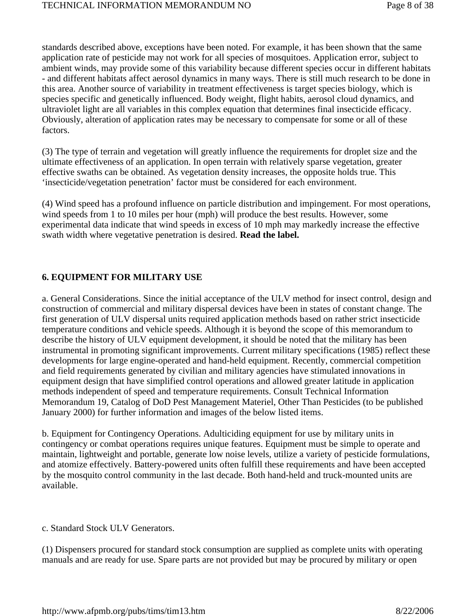standards described above, exceptions have been noted. For example, it has been shown that the same application rate of pesticide may not work for all species of mosquitoes. Application error, subject to ambient winds, may provide some of this variability because different species occur in different habitats - and different habitats affect aerosol dynamics in many ways. There is still much research to be done in this area. Another source of variability in treatment effectiveness is target species biology, which is species specific and genetically influenced. Body weight, flight habits, aerosol cloud dynamics, and ultraviolet light are all variables in this complex equation that determines final insecticide efficacy. Obviously, alteration of application rates may be necessary to compensate for some or all of these factors.

(3) The type of terrain and vegetation will greatly influence the requirements for droplet size and the ultimate effectiveness of an application. In open terrain with relatively sparse vegetation, greater effective swaths can be obtained. As vegetation density increases, the opposite holds true. This 'insecticide/vegetation penetration' factor must be considered for each environment.

(4) Wind speed has a profound influence on particle distribution and impingement. For most operations, wind speeds from 1 to 10 miles per hour (mph) will produce the best results. However, some experimental data indicate that wind speeds in excess of 10 mph may markedly increase the effective swath width where vegetative penetration is desired. **Read the label.**

#### **6. EQUIPMENT FOR MILITARY USE**

a. General Considerations. Since the initial acceptance of the ULV method for insect control, design and construction of commercial and military dispersal devices have been in states of constant change. The first generation of ULV dispersal units required application methods based on rather strict insecticide temperature conditions and vehicle speeds. Although it is beyond the scope of this memorandum to describe the history of ULV equipment development, it should be noted that the military has been instrumental in promoting significant improvements. Current military specifications (1985) reflect these developments for large engine-operated and hand-held equipment. Recently, commercial competition and field requirements generated by civilian and military agencies have stimulated innovations in equipment design that have simplified control operations and allowed greater latitude in application methods independent of speed and temperature requirements. Consult Technical Information Memorandum 19, Catalog of DoD Pest Management Materiel, Other Than Pesticides (to be published January 2000) for further information and images of the below listed items.

b. Equipment for Contingency Operations. Adulticiding equipment for use by military units in contingency or combat operations requires unique features. Equipment must be simple to operate and maintain, lightweight and portable, generate low noise levels, utilize a variety of pesticide formulations, and atomize effectively. Battery-powered units often fulfill these requirements and have been accepted by the mosquito control community in the last decade. Both hand-held and truck-mounted units are available.

#### c. Standard Stock ULV Generators.

(1) Dispensers procured for standard stock consumption are supplied as complete units with operating manuals and are ready for use. Spare parts are not provided but may be procured by military or open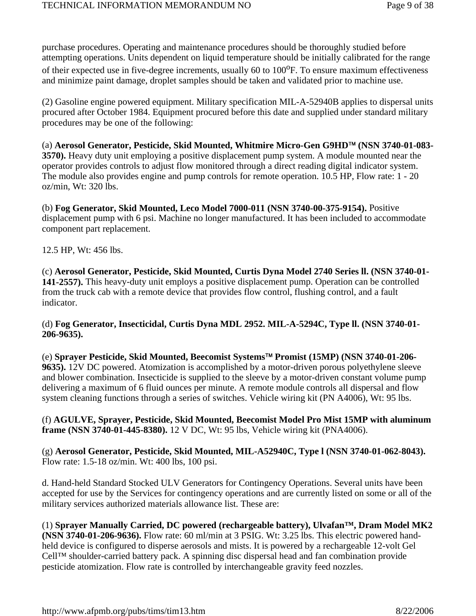purchase procedures. Operating and maintenance procedures should be thoroughly studied before attempting operations. Units dependent on liquid temperature should be initially calibrated for the range of their expected use in five-degree increments, usually 60 to 100<sup>o</sup>F. To ensure maximum effectiveness and minimize paint damage, droplet samples should be taken and validated prior to machine use.

(2) Gasoline engine powered equipment. Military specification MIL-A-52940B applies to dispersal units procured after October 1984. Equipment procured before this date and supplied under standard military procedures may be one of the following:

(a) **Aerosol Generator, Pesticide, Skid Mounted, Whitmire Micro-Gen G9HD**™ **(NSN 3740-01-083- 3570).** Heavy duty unit employing a positive displacement pump system. A module mounted near the operator provides controls to adjust flow monitored through a direct reading digital indicator system. The module also provides engine and pump controls for remote operation. 10.5 HP, Flow rate: 1 - 20 oz/min, Wt: 320 lbs.

(b) **Fog Generator, Skid Mounted, Leco Model 7000-011 (NSN 3740-00-375-9154).** Positive displacement pump with 6 psi. Machine no longer manufactured. It has been included to accommodate component part replacement.

12.5 HP, Wt: 456 lbs.

(c) **Aerosol Generator, Pesticide, Skid Mounted, Curtis Dyna Model 2740 Series ll. (NSN 3740-01- 141-2557).** This heavy-duty unit employs a positive displacement pump. Operation can be controlled from the truck cab with a remote device that provides flow control, flushing control, and a fault indicator.

(d) **Fog Generator, Insecticidal, Curtis Dyna MDL 2952. MIL-A-5294C, Type ll. (NSN 3740-01- 206-9635).**

(e) **Sprayer Pesticide, Skid Mounted, Beecomist Systems**™ **Promist (15MP) (NSN 3740-01-206- 9635).** 12V DC powered. Atomization is accomplished by a motor-driven porous polyethylene sleeve and blower combination. Insecticide is supplied to the sleeve by a motor-driven constant volume pump delivering a maximum of 6 fluid ounces per minute. A remote module controls all dispersal and flow system cleaning functions through a series of switches. Vehicle wiring kit (PN A4006), Wt: 95 lbs.

(f) **AGULVE, Sprayer, Pesticide, Skid Mounted, Beecomist Model Pro Mist 15MP with aluminum frame (NSN 3740-01-445-8380).** 12 V DC, Wt: 95 lbs, Vehicle wiring kit (PNA4006).

(g) **Aerosol Generator, Pesticide, Skid Mounted, MIL-A52940C, Type l (NSN 3740-01-062-8043).**  Flow rate: 1.5-18 oz/min. Wt: 400 lbs, 100 psi.

d. Hand-held Standard Stocked ULV Generators for Contingency Operations. Several units have been accepted for use by the Services for contingency operations and are currently listed on some or all of the military services authorized materials allowance list. These are:

(1) **Sprayer Manually Carried, DC powered (rechargeable battery), Ulvafan™, Dram Model MK2 (NSN 3740-01-206-9636).** Flow rate: 60 ml/min at 3 PSIG. Wt: 3.25 lbs. This electric powered handheld device is configured to disperse aerosols and mists. It is powered by a rechargeable 12-volt Gel Cell™ shoulder-carried battery pack. A spinning disc dispersal head and fan combination provide pesticide atomization. Flow rate is controlled by interchangeable gravity feed nozzles.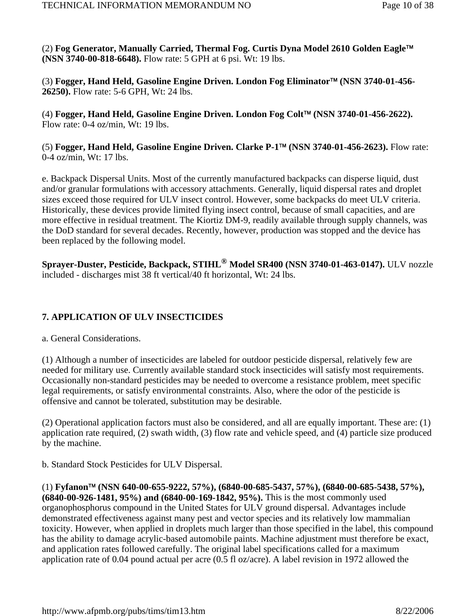(2) **Fog Generator, Manually Carried, Thermal Fog. Curtis Dyna Model 2610 Golden Eagle**™ **(NSN 3740-00-818-6648).** Flow rate: 5 GPH at 6 psi. Wt: 19 lbs.

(3) **Fogger, Hand Held, Gasoline Engine Driven. London Fog Eliminator**™ **(NSN 3740-01-456- 26250).** Flow rate: 5-6 GPH, Wt: 24 lbs.

(4) **Fogger, Hand Held, Gasoline Engine Driven. London Fog Colt**™ **(NSN 3740-01-456-2622).**  Flow rate: 0-4 oz/min, Wt: 19 lbs.

(5) **Fogger, Hand Held, Gasoline Engine Driven. Clarke P-1**™ **(NSN 3740-01-456-2623).** Flow rate: 0-4 oz/min, Wt: 17 lbs.

e. Backpack Dispersal Units. Most of the currently manufactured backpacks can disperse liquid, dust and/or granular formulations with accessory attachments. Generally, liquid dispersal rates and droplet sizes exceed those required for ULV insect control. However, some backpacks do meet ULV criteria. Historically, these devices provide limited flying insect control, because of small capacities, and are more effective in residual treatment. The Kiortiz DM-9, readily available through supply channels, was the DoD standard for several decades. Recently, however, production was stopped and the device has been replaced by the following model.

**Sprayer-Duster, Pesticide, Backpack, STIHL® Model SR400 (NSN 3740-01-463-0147).** ULV nozzle included - discharges mist 38 ft vertical/40 ft horizontal, Wt: 24 lbs.

### **7. APPLICATION OF ULV INSECTICIDES**

a. General Considerations.

(1) Although a number of insecticides are labeled for outdoor pesticide dispersal, relatively few are needed for military use. Currently available standard stock insecticides will satisfy most requirements. Occasionally non-standard pesticides may be needed to overcome a resistance problem, meet specific legal requirements, or satisfy environmental constraints. Also, where the odor of the pesticide is offensive and cannot be tolerated, substitution may be desirable.

(2) Operational application factors must also be considered, and all are equally important. These are: (1) application rate required, (2) swath width, (3) flow rate and vehicle speed, and (4) particle size produced by the machine.

b. Standard Stock Pesticides for ULV Dispersal.

(1) **Fyfanon**™ **(NSN 640-00-655-9222, 57%), (6840-00-685-5437, 57%), (6840-00-685-5438, 57%), (6840-00-926-1481, 95%) and (6840-00-169-1842, 95%).** This is the most commonly used organophosphorus compound in the United States for ULV ground dispersal. Advantages include demonstrated effectiveness against many pest and vector species and its relatively low mammalian toxicity. However, when applied in droplets much larger than those specified in the label, this compound has the ability to damage acrylic-based automobile paints. Machine adjustment must therefore be exact, and application rates followed carefully. The original label specifications called for a maximum application rate of 0.04 pound actual per acre (0.5 fl oz/acre). A label revision in 1972 allowed the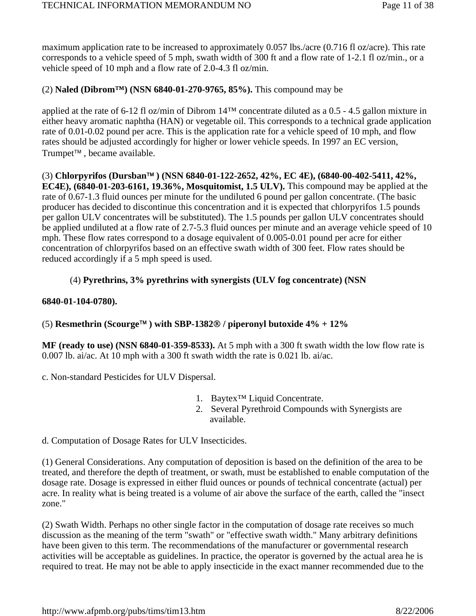maximum application rate to be increased to approximately 0.057 lbs./acre (0.716 fl oz/acre). This rate corresponds to a vehicle speed of 5 mph, swath width of 300 ft and a flow rate of 1-2.1 fl oz/min., or a vehicle speed of 10 mph and a flow rate of 2.0-4.3 fl oz/min.

### (2) **Naled (Dibrom™) (NSN 6840-01-270-9765, 85%).** This compound may be

applied at the rate of 6-12 fl oz/min of Dibrom  $14<sup>TM</sup>$  concentrate diluted as a 0.5 - 4.5 gallon mixture in either heavy aromatic naphtha (HAN) or vegetable oil. This corresponds to a technical grade application rate of 0.01-0.02 pound per acre. This is the application rate for a vehicle speed of 10 mph, and flow rates should be adjusted accordingly for higher or lower vehicle speeds. In 1997 an EC version, Trumpet™ , became available.

(3) **Chlorpyrifos (Dursban**™ **) (NSN 6840-01-122-2652, 42%, EC 4E), (6840-00-402-5411, 42%, EC4E), (6840-01-203-6161, 19.36%, Mosquitomist, 1.5 ULV).** This compound may be applied at the rate of 0.67-1.3 fluid ounces per minute for the undiluted 6 pound per gallon concentrate. (The basic producer has decided to discontinue this concentration and it is expected that chlorpyrifos 1.5 pounds per gallon ULV concentrates will be substituted). The 1.5 pounds per gallon ULV concentrates should be applied undiluted at a flow rate of 2.7-5.3 fluid ounces per minute and an average vehicle speed of 10 mph. These flow rates correspond to a dosage equivalent of 0.005-0.01 pound per acre for either concentration of chlorpyrifos based on an effective swath width of 300 feet. Flow rates should be reduced accordingly if a 5 mph speed is used.

### (4) **Pyrethrins, 3% pyrethrins with synergists (ULV fog concentrate) (NSN**

#### **6840-01-104-0780).**

#### (5) **Resmethrin (Scourge**™ **) with SBP-1382**® **/ piperonyl butoxide 4% + 12%**

**MF (ready to use) (NSN 6840-01-359-8533).** At 5 mph with a 300 ft swath width the low flow rate is 0.007 lb. ai/ac. At 10 mph with a 300 ft swath width the rate is 0.021 lb. ai/ac.

c. Non-standard Pesticides for ULV Dispersal.

- 1. Baytex™ Liquid Concentrate.
- 2. Several Pyrethroid Compounds with Synergists are available.

d. Computation of Dosage Rates for ULV Insecticides.

(1) General Considerations. Any computation of deposition is based on the definition of the area to be treated, and therefore the depth of treatment, or swath, must be established to enable computation of the dosage rate. Dosage is expressed in either fluid ounces or pounds of technical concentrate (actual) per acre. In reality what is being treated is a volume of air above the surface of the earth, called the "insect zone."

(2) Swath Width. Perhaps no other single factor in the computation of dosage rate receives so much discussion as the meaning of the term "swath" or "effective swath width." Many arbitrary definitions have been given to this term. The recommendations of the manufacturer or governmental research activities will be acceptable as guidelines. In practice, the operator is governed by the actual area he is required to treat. He may not be able to apply insecticide in the exact manner recommended due to the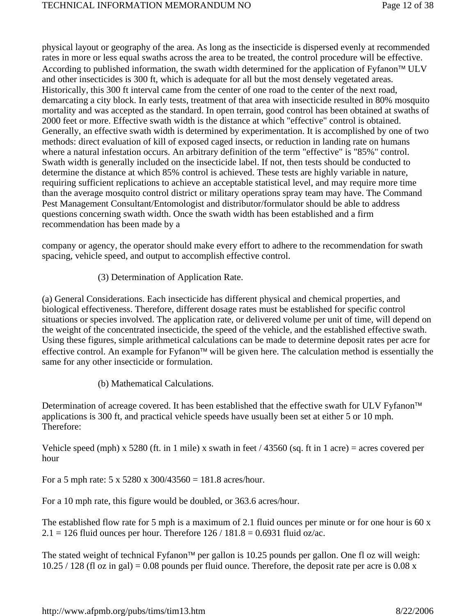physical layout or geography of the area. As long as the insecticide is dispersed evenly at recommended rates in more or less equal swaths across the area to be treated, the control procedure will be effective. According to published information, the swath width determined for the application of Fyfanon<sup>™</sup> ULV and other insecticides is 300 ft, which is adequate for all but the most densely vegetated areas. Historically, this 300 ft interval came from the center of one road to the center of the next road, demarcating a city block. In early tests, treatment of that area with insecticide resulted in 80% mosquito mortality and was accepted as the standard. In open terrain, good control has been obtained at swaths of 2000 feet or more. Effective swath width is the distance at which "effective" control is obtained. Generally, an effective swath width is determined by experimentation. It is accomplished by one of two methods: direct evaluation of kill of exposed caged insects, or reduction in landing rate on humans where a natural infestation occurs. An arbitrary definition of the term "effective" is "85%" control. Swath width is generally included on the insecticide label. If not, then tests should be conducted to determine the distance at which 85% control is achieved. These tests are highly variable in nature, requiring sufficient replications to achieve an acceptable statistical level, and may require more time than the average mosquito control district or military operations spray team may have. The Command Pest Management Consultant/Entomologist and distributor/formulator should be able to address questions concerning swath width. Once the swath width has been established and a firm recommendation has been made by a

company or agency, the operator should make every effort to adhere to the recommendation for swath spacing, vehicle speed, and output to accomplish effective control.

(3) Determination of Application Rate.

(a) General Considerations. Each insecticide has different physical and chemical properties, and biological effectiveness. Therefore, different dosage rates must be established for specific control situations or species involved. The application rate, or delivered volume per unit of time, will depend on the weight of the concentrated insecticide, the speed of the vehicle, and the established effective swath. Using these figures, simple arithmetical calculations can be made to determine deposit rates per acre for effective control. An example for Fyfanon™ will be given here. The calculation method is essentially the same for any other insecticide or formulation.

(b) Mathematical Calculations.

Determination of acreage covered. It has been established that the effective swath for ULV Fyfanon™ applications is 300 ft, and practical vehicle speeds have usually been set at either 5 or 10 mph. Therefore:

Vehicle speed (mph) x 5280 (ft. in 1 mile) x swath in feet / 43560 (sq. ft in 1 acre) = acres covered per hour

For a 5 mph rate:  $5 \times 5280 \times 300/43560 = 181.8$  acres/hour.

For a 10 mph rate, this figure would be doubled, or 363.6 acres/hour.

The established flow rate for 5 mph is a maximum of 2.1 fluid ounces per minute or for one hour is 60 x  $2.1 = 126$  fluid ounces per hour. Therefore  $126 / 181.8 = 0.6931$  fluid oz/ac.

The stated weight of technical Fyfanon™ per gallon is 10.25 pounds per gallon. One fl oz will weigh:  $10.25 / 128$  (fl oz in gal) = 0.08 pounds per fluid ounce. Therefore, the deposit rate per acre is 0.08 x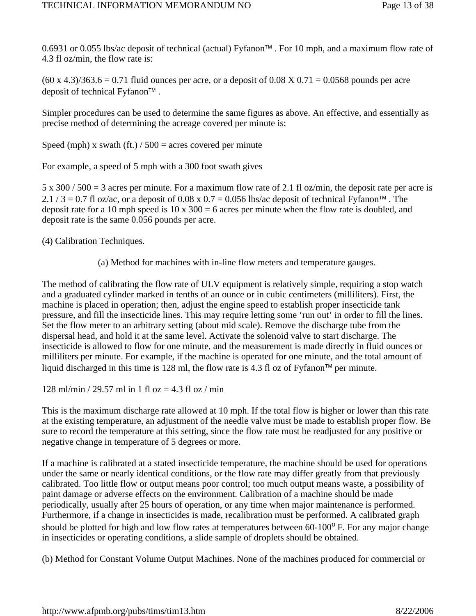0.6931 or 0.055 lbs/ac deposit of technical (actual) Fyfanon™ . For 10 mph, and a maximum flow rate of 4.3 fl oz/min, the flow rate is:

 $(60 \times 4.3)/363.6 = 0.71$  fluid ounces per acre, or a deposit of 0.08 X 0.71 = 0.0568 pounds per acre deposit of technical Fyfanon™ .

Simpler procedures can be used to determine the same figures as above. An effective, and essentially as precise method of determining the acreage covered per minute is:

Speed (mph) x swath (ft.)  $/ 500 =$  acres covered per minute

For example, a speed of 5 mph with a 300 foot swath gives

5 x 300 / 500 = 3 acres per minute. For a maximum flow rate of 2.1 fl oz/min, the deposit rate per acre is  $2.1 / 3 = 0.7$  fl oz/ac, or a deposit of 0.08 x 0.7 = 0.056 lbs/ac deposit of technical Fyfanon<sup>™</sup>. The deposit rate for a 10 mph speed is  $10 \times 300 = 6$  acres per minute when the flow rate is doubled, and deposit rate is the same 0.056 pounds per acre.

(4) Calibration Techniques.

(a) Method for machines with in-line flow meters and temperature gauges.

The method of calibrating the flow rate of ULV equipment is relatively simple, requiring a stop watch and a graduated cylinder marked in tenths of an ounce or in cubic centimeters (milliliters). First, the machine is placed in operation; then, adjust the engine speed to establish proper insecticide tank pressure, and fill the insecticide lines. This may require letting some 'run out' in order to fill the lines. Set the flow meter to an arbitrary setting (about mid scale). Remove the discharge tube from the dispersal head, and hold it at the same level. Activate the solenoid valve to start discharge. The insecticide is allowed to flow for one minute, and the measurement is made directly in fluid ounces or milliliters per minute. For example, if the machine is operated for one minute, and the total amount of liquid discharged in this time is 128 ml, the flow rate is 4.3 fl oz of Fyfanon™ per minute.

128 ml/min / 29.57 ml in 1 fl oz = 4.3 fl oz / min

This is the maximum discharge rate allowed at 10 mph. If the total flow is higher or lower than this rate at the existing temperature, an adjustment of the needle valve must be made to establish proper flow. Be sure to record the temperature at this setting, since the flow rate must be readjusted for any positive or negative change in temperature of 5 degrees or more.

If a machine is calibrated at a stated insecticide temperature, the machine should be used for operations under the same or nearly identical conditions, or the flow rate may differ greatly from that previously calibrated. Too little flow or output means poor control; too much output means waste, a possibility of paint damage or adverse effects on the environment. Calibration of a machine should be made periodically, usually after 25 hours of operation, or any time when major maintenance is performed. Furthermore, if a change in insecticides is made, recalibration must be performed. A calibrated graph should be plotted for high and low flow rates at temperatures between  $60-100^{\circ}$  F. For any major change in insecticides or operating conditions, a slide sample of droplets should be obtained.

(b) Method for Constant Volume Output Machines. None of the machines produced for commercial or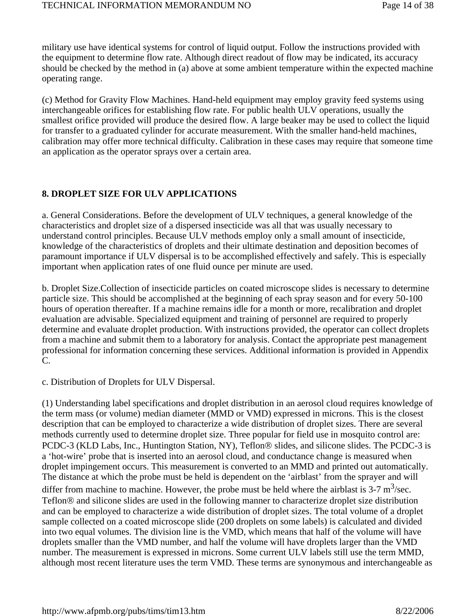military use have identical systems for control of liquid output. Follow the instructions provided with the equipment to determine flow rate. Although direct readout of flow may be indicated, its accuracy should be checked by the method in (a) above at some ambient temperature within the expected machine operating range.

(c) Method for Gravity Flow Machines. Hand-held equipment may employ gravity feed systems using interchangeable orifices for establishing flow rate. For public health ULV operations, usually the smallest orifice provided will produce the desired flow. A large beaker may be used to collect the liquid for transfer to a graduated cylinder for accurate measurement. With the smaller hand-held machines, calibration may offer more technical difficulty. Calibration in these cases may require that someone time an application as the operator sprays over a certain area.

#### **8. DROPLET SIZE FOR ULV APPLICATIONS**

a. General Considerations. Before the development of ULV techniques, a general knowledge of the characteristics and droplet size of a dispersed insecticide was all that was usually necessary to understand control principles. Because ULV methods employ only a small amount of insecticide, knowledge of the characteristics of droplets and their ultimate destination and deposition becomes of paramount importance if ULV dispersal is to be accomplished effectively and safely. This is especially important when application rates of one fluid ounce per minute are used.

b. Droplet Size.Collection of insecticide particles on coated microscope slides is necessary to determine particle size. This should be accomplished at the beginning of each spray season and for every 50-100 hours of operation thereafter. If a machine remains idle for a month or more, recalibration and droplet evaluation are advisable. Specialized equipment and training of personnel are required to properly determine and evaluate droplet production. With instructions provided, the operator can collect droplets from a machine and submit them to a laboratory for analysis. Contact the appropriate pest management professional for information concerning these services. Additional information is provided in Appendix C.

c. Distribution of Droplets for ULV Dispersal.

(1) Understanding label specifications and droplet distribution in an aerosol cloud requires knowledge of the term mass (or volume) median diameter (MMD or VMD) expressed in microns. This is the closest description that can be employed to characterize a wide distribution of droplet sizes. There are several methods currently used to determine droplet size. Three popular for field use in mosquito control are: PCDC-3 (KLD Labs, Inc., Huntington Station, NY), Teflon® slides, and silicone slides. The PCDC-3 is a 'hot-wire' probe that is inserted into an aerosol cloud, and conductance change is measured when droplet impingement occurs. This measurement is converted to an MMD and printed out automatically. The distance at which the probe must be held is dependent on the 'airblast' from the sprayer and will differ from machine to machine. However, the probe must be held where the airblast is  $3-7 \text{ m}^3/\text{sec}$ . Teflon® and silicone slides are used in the following manner to characterize droplet size distribution and can be employed to characterize a wide distribution of droplet sizes. The total volume of a droplet sample collected on a coated microscope slide (200 droplets on some labels) is calculated and divided into two equal volumes. The division line is the VMD, which means that half of the volume will have droplets smaller than the VMD number, and half the volume will have droplets larger than the VMD number. The measurement is expressed in microns. Some current ULV labels still use the term MMD, although most recent literature uses the term VMD. These terms are synonymous and interchangeable as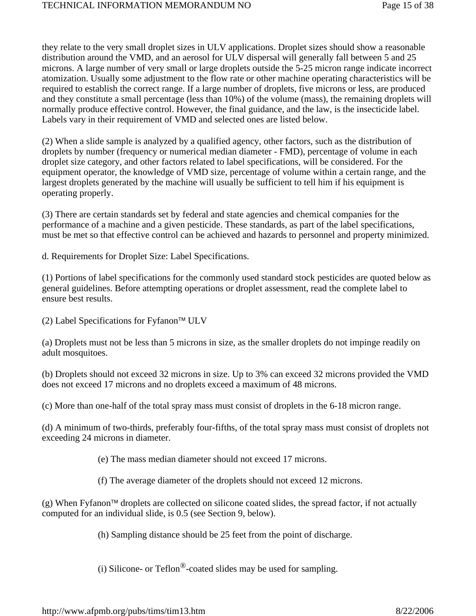they relate to the very small droplet sizes in ULV applications. Droplet sizes should show a reasonable distribution around the VMD, and an aerosol for ULV dispersal will generally fall between 5 and 25 microns. A large number of very small or large droplets outside the 5-25 micron range indicate incorrect atomization. Usually some adjustment to the flow rate or other machine operating characteristics will be required to establish the correct range. If a large number of droplets, five microns or less, are produced and they constitute a small percentage (less than 10%) of the volume (mass), the remaining droplets will normally produce effective control. However, the final guidance, and the law, is the insecticide label. Labels vary in their requirement of VMD and selected ones are listed below.

(2) When a slide sample is analyzed by a qualified agency, other factors, such as the distribution of droplets by number (frequency or numerical median diameter - FMD), percentage of volume in each droplet size category, and other factors related to label specifications, will be considered. For the equipment operator, the knowledge of VMD size, percentage of volume within a certain range, and the largest droplets generated by the machine will usually be sufficient to tell him if his equipment is operating properly.

(3) There are certain standards set by federal and state agencies and chemical companies for the performance of a machine and a given pesticide. These standards, as part of the label specifications, must be met so that effective control can be achieved and hazards to personnel and property minimized.

d. Requirements for Droplet Size: Label Specifications.

(1) Portions of label specifications for the commonly used standard stock pesticides are quoted below as general guidelines. Before attempting operations or droplet assessment, read the complete label to ensure best results.

(2) Label Specifications for Fyfanon™ ULV

(a) Droplets must not be less than 5 microns in size, as the smaller droplets do not impinge readily on adult mosquitoes.

(b) Droplets should not exceed 32 microns in size. Up to 3% can exceed 32 microns provided the VMD does not exceed 17 microns and no droplets exceed a maximum of 48 microns.

(c) More than one-half of the total spray mass must consist of droplets in the 6-18 micron range.

(d) A minimum of two-thirds, preferably four-fifths, of the total spray mass must consist of droplets not exceeding 24 microns in diameter.

- (e) The mass median diameter should not exceed 17 microns.
- (f) The average diameter of the droplets should not exceed 12 microns.

(g) When Fyfanon™ droplets are collected on silicone coated slides, the spread factor, if not actually computed for an individual slide, is 0.5 (see Section 9, below).

(h) Sampling distance should be 25 feet from the point of discharge.

(i) Silicone- or Teflon<sup>®</sup>-coated slides may be used for sampling.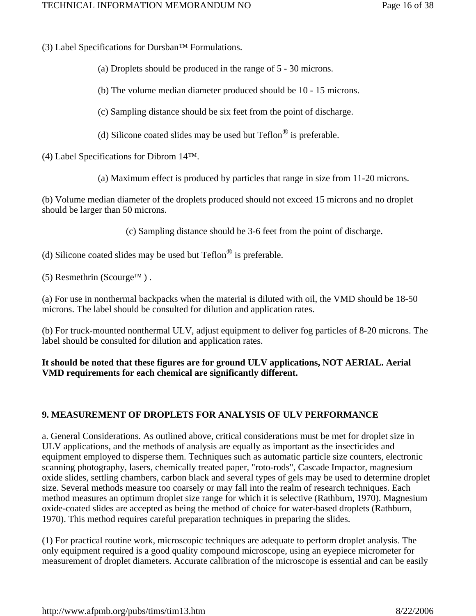(3) Label Specifications for Dursban™ Formulations.

(a) Droplets should be produced in the range of 5 - 30 microns.

(b) The volume median diameter produced should be 10 - 15 microns.

(c) Sampling distance should be six feet from the point of discharge.

(d) Silicone coated slides may be used but  $\text{Teflon}^{\circledR}$  is preferable.

(4) Label Specifications for Dibrom 14™.

(a) Maximum effect is produced by particles that range in size from 11-20 microns.

(b) Volume median diameter of the droplets produced should not exceed 15 microns and no droplet should be larger than 50 microns.

(c) Sampling distance should be 3-6 feet from the point of discharge.

(d) Silicone coated slides may be used but  $Teflon^{\circledR}$  is preferable.

(5) Resmethrin (Scourge™).

(a) For use in nonthermal backpacks when the material is diluted with oil, the VMD should be 18-50 microns. The label should be consulted for dilution and application rates.

(b) For truck-mounted nonthermal ULV, adjust equipment to deliver fog particles of 8-20 microns. The label should be consulted for dilution and application rates.

#### **It should be noted that these figures are for ground ULV applications, NOT AERIAL. Aerial VMD requirements for each chemical are significantly different.**

### **9. MEASUREMENT OF DROPLETS FOR ANALYSIS OF ULV PERFORMANCE**

a. General Considerations. As outlined above, critical considerations must be met for droplet size in ULV applications, and the methods of analysis are equally as important as the insecticides and equipment employed to disperse them. Techniques such as automatic particle size counters, electronic scanning photography, lasers, chemically treated paper, "roto-rods", Cascade Impactor, magnesium oxide slides, settling chambers, carbon black and several types of gels may be used to determine droplet size. Several methods measure too coarsely or may fall into the realm of research techniques. Each method measures an optimum droplet size range for which it is selective (Rathburn, 1970). Magnesium oxide-coated slides are accepted as being the method of choice for water-based droplets (Rathburn, 1970). This method requires careful preparation techniques in preparing the slides.

(1) For practical routine work, microscopic techniques are adequate to perform droplet analysis. The only equipment required is a good quality compound microscope, using an eyepiece micrometer for measurement of droplet diameters. Accurate calibration of the microscope is essential and can be easily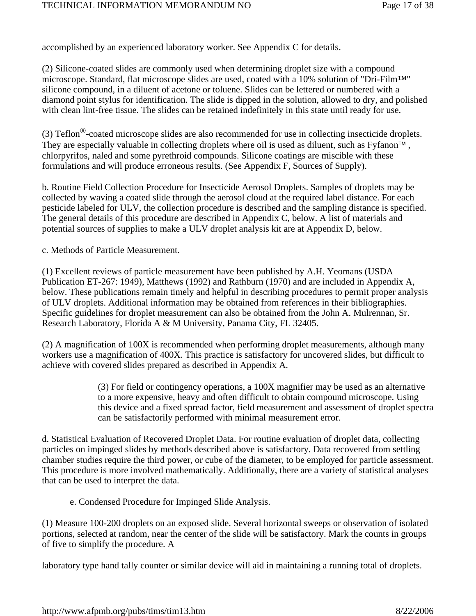accomplished by an experienced laboratory worker. See Appendix C for details.

(2) Silicone-coated slides are commonly used when determining droplet size with a compound microscope. Standard, flat microscope slides are used, coated with a 10% solution of "Dri-Film™" silicone compound, in a diluent of acetone or toluene. Slides can be lettered or numbered with a diamond point stylus for identification. The slide is dipped in the solution, allowed to dry, and polished with clean lint-free tissue. The slides can be retained indefinitely in this state until ready for use.

(3) Teflon®-coated microscope slides are also recommended for use in collecting insecticide droplets. They are especially valuable in collecting droplets where oil is used as diluent, such as Fyfanon™ , chlorpyrifos, naled and some pyrethroid compounds. Silicone coatings are miscible with these formulations and will produce erroneous results. (See Appendix F, Sources of Supply).

b. Routine Field Collection Procedure for Insecticide Aerosol Droplets. Samples of droplets may be collected by waving a coated slide through the aerosol cloud at the required label distance. For each pesticide labeled for ULV, the collection procedure is described and the sampling distance is specified. The general details of this procedure are described in Appendix C, below. A list of materials and potential sources of supplies to make a ULV droplet analysis kit are at Appendix D, below.

c. Methods of Particle Measurement.

(1) Excellent reviews of particle measurement have been published by A.H. Yeomans (USDA Publication ET-267: 1949), Matthews (1992) and Rathburn (1970) and are included in Appendix A, below. These publications remain timely and helpful in describing procedures to permit proper analysis of ULV droplets. Additional information may be obtained from references in their bibliographies. Specific guidelines for droplet measurement can also be obtained from the John A. Mulrennan, Sr. Research Laboratory, Florida A & M University, Panama City, FL 32405.

(2) A magnification of 100X is recommended when performing droplet measurements, although many workers use a magnification of 400X. This practice is satisfactory for uncovered slides, but difficult to achieve with covered slides prepared as described in Appendix A.

> (3) For field or contingency operations, a 100X magnifier may be used as an alternative to a more expensive, heavy and often difficult to obtain compound microscope. Using this device and a fixed spread factor, field measurement and assessment of droplet spectra can be satisfactorily performed with minimal measurement error.

d. Statistical Evaluation of Recovered Droplet Data. For routine evaluation of droplet data, collecting particles on impinged slides by methods described above is satisfactory. Data recovered from settling chamber studies require the third power, or cube of the diameter, to be employed for particle assessment. This procedure is more involved mathematically. Additionally, there are a variety of statistical analyses that can be used to interpret the data.

e. Condensed Procedure for Impinged Slide Analysis.

(1) Measure 100-200 droplets on an exposed slide. Several horizontal sweeps or observation of isolated portions, selected at random, near the center of the slide will be satisfactory. Mark the counts in groups of five to simplify the procedure. A

laboratory type hand tally counter or similar device will aid in maintaining a running total of droplets.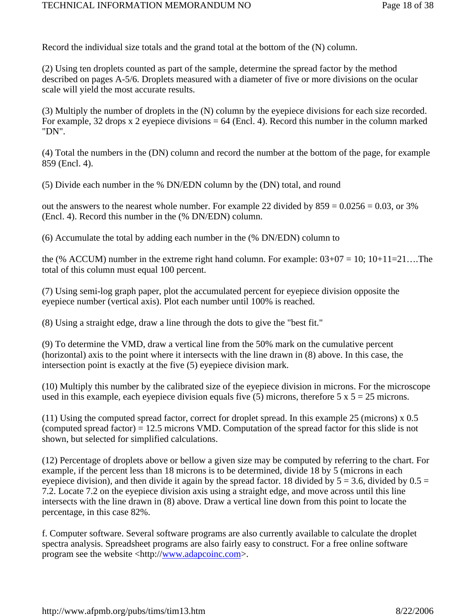Record the individual size totals and the grand total at the bottom of the (N) column.

(2) Using ten droplets counted as part of the sample, determine the spread factor by the method described on pages A-5/6. Droplets measured with a diameter of five or more divisions on the ocular scale will yield the most accurate results.

(3) Multiply the number of droplets in the (N) column by the eyepiece divisions for each size recorded. For example, 32 drops x 2 eyepiece divisions  $= 64$  (Encl. 4). Record this number in the column marked "DN".

(4) Total the numbers in the (DN) column and record the number at the bottom of the page, for example 859 (Encl. 4).

(5) Divide each number in the % DN/EDN column by the (DN) total, and round

out the answers to the nearest whole number. For example 22 divided by  $859 = 0.0256 = 0.03$ , or 3% (Encl. 4). Record this number in the (% DN/EDN) column.

(6) Accumulate the total by adding each number in the (% DN/EDN) column to

the (% ACCUM) number in the extreme right hand column. For example:  $03+07 = 10$ ;  $10+11=21...$  The total of this column must equal 100 percent.

(7) Using semi-log graph paper, plot the accumulated percent for eyepiece division opposite the eyepiece number (vertical axis). Plot each number until 100% is reached.

(8) Using a straight edge, draw a line through the dots to give the "best fit."

(9) To determine the VMD, draw a vertical line from the 50% mark on the cumulative percent (horizontal) axis to the point where it intersects with the line drawn in (8) above. In this case, the intersection point is exactly at the five (5) eyepiece division mark.

(10) Multiply this number by the calibrated size of the eyepiece division in microns. For the microscope used in this example, each eyepiece division equals five (5) microns, therefore  $5 \times 5 = 25$  microns.

(11) Using the computed spread factor, correct for droplet spread. In this example 25 (microns) x 0.5 (computed spread factor) = 12.5 microns VMD. Computation of the spread factor for this slide is not shown, but selected for simplified calculations.

(12) Percentage of droplets above or bellow a given size may be computed by referring to the chart. For example, if the percent less than 18 microns is to be determined, divide 18 by 5 (microns in each eyepiece division), and then divide it again by the spread factor. 18 divided by  $5 = 3.6$ , divided by  $0.5 =$ 7.2. Locate 7.2 on the eyepiece division axis using a straight edge, and move across until this line intersects with the line drawn in (8) above. Draw a vertical line down from this point to locate the percentage, in this case 82%.

f. Computer software. Several software programs are also currently available to calculate the droplet spectra analysis. Spreadsheet programs are also fairly easy to construct. For a free online software program see the website <http://www.adapcoinc.com>.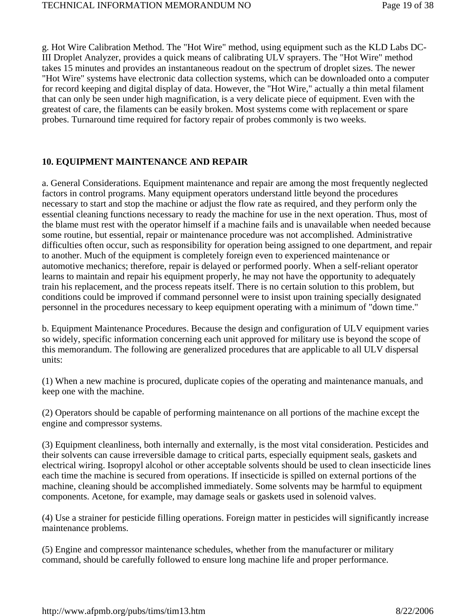g. Hot Wire Calibration Method. The "Hot Wire" method, using equipment such as the KLD Labs DC-III Droplet Analyzer, provides a quick means of calibrating ULV sprayers. The "Hot Wire" method takes 15 minutes and provides an instantaneous readout on the spectrum of droplet sizes. The newer "Hot Wire" systems have electronic data collection systems, which can be downloaded onto a computer for record keeping and digital display of data. However, the "Hot Wire," actually a thin metal filament that can only be seen under high magnification, is a very delicate piece of equipment. Even with the greatest of care, the filaments can be easily broken. Most systems come with replacement or spare probes. Turnaround time required for factory repair of probes commonly is two weeks.

### **10. EQUIPMENT MAINTENANCE AND REPAIR**

a. General Considerations. Equipment maintenance and repair are among the most frequently neglected factors in control programs. Many equipment operators understand little beyond the procedures necessary to start and stop the machine or adjust the flow rate as required, and they perform only the essential cleaning functions necessary to ready the machine for use in the next operation. Thus, most of the blame must rest with the operator himself if a machine fails and is unavailable when needed because some routine, but essential, repair or maintenance procedure was not accomplished. Administrative difficulties often occur, such as responsibility for operation being assigned to one department, and repair to another. Much of the equipment is completely foreign even to experienced maintenance or automotive mechanics; therefore, repair is delayed or performed poorly. When a self-reliant operator learns to maintain and repair his equipment properly, he may not have the opportunity to adequately train his replacement, and the process repeats itself. There is no certain solution to this problem, but conditions could be improved if command personnel were to insist upon training specially designated personnel in the procedures necessary to keep equipment operating with a minimum of "down time."

b. Equipment Maintenance Procedures. Because the design and configuration of ULV equipment varies so widely, specific information concerning each unit approved for military use is beyond the scope of this memorandum. The following are generalized procedures that are applicable to all ULV dispersal units:

(1) When a new machine is procured, duplicate copies of the operating and maintenance manuals, and keep one with the machine.

(2) Operators should be capable of performing maintenance on all portions of the machine except the engine and compressor systems.

(3) Equipment cleanliness, both internally and externally, is the most vital consideration. Pesticides and their solvents can cause irreversible damage to critical parts, especially equipment seals, gaskets and electrical wiring. Isopropyl alcohol or other acceptable solvents should be used to clean insecticide lines each time the machine is secured from operations. If insecticide is spilled on external portions of the machine, cleaning should be accomplished immediately. Some solvents may be harmful to equipment components. Acetone, for example, may damage seals or gaskets used in solenoid valves.

(4) Use a strainer for pesticide filling operations. Foreign matter in pesticides will significantly increase maintenance problems.

(5) Engine and compressor maintenance schedules, whether from the manufacturer or military command, should be carefully followed to ensure long machine life and proper performance.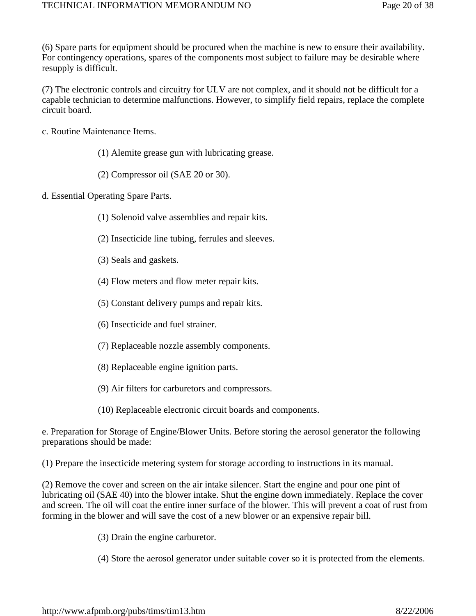(6) Spare parts for equipment should be procured when the machine is new to ensure their availability. For contingency operations, spares of the components most subject to failure may be desirable where resupply is difficult.

(7) The electronic controls and circuitry for ULV are not complex, and it should not be difficult for a capable technician to determine malfunctions. However, to simplify field repairs, replace the complete circuit board.

- c. Routine Maintenance Items.
	- (1) Alemite grease gun with lubricating grease.
	- (2) Compressor oil (SAE 20 or 30).
- d. Essential Operating Spare Parts.
	- (1) Solenoid valve assemblies and repair kits.
	- (2) Insecticide line tubing, ferrules and sleeves.
	- (3) Seals and gaskets.
	- (4) Flow meters and flow meter repair kits.
	- (5) Constant delivery pumps and repair kits.
	- (6) Insecticide and fuel strainer.
	- (7) Replaceable nozzle assembly components.
	- (8) Replaceable engine ignition parts.
	- (9) Air filters for carburetors and compressors.
	- (10) Replaceable electronic circuit boards and components.

e. Preparation for Storage of Engine/Blower Units. Before storing the aerosol generator the following preparations should be made:

(1) Prepare the insecticide metering system for storage according to instructions in its manual.

(2) Remove the cover and screen on the air intake silencer. Start the engine and pour one pint of lubricating oil (SAE 40) into the blower intake. Shut the engine down immediately. Replace the cover and screen. The oil will coat the entire inner surface of the blower. This will prevent a coat of rust from forming in the blower and will save the cost of a new blower or an expensive repair bill.

(3) Drain the engine carburetor.

(4) Store the aerosol generator under suitable cover so it is protected from the elements.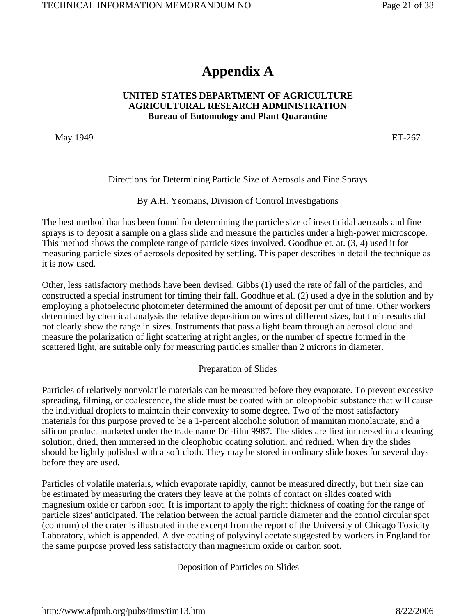### **Appendix A**

#### **UNITED STATES DEPARTMENT OF AGRICULTURE AGRICULTURAL RESEARCH ADMINISTRATION Bureau of Entomology and Plant Quarantine**

May 1949 ET-267

Directions for Determining Particle Size of Aerosols and Fine Sprays

By A.H. Yeomans, Division of Control Investigations

The best method that has been found for determining the particle size of insecticidal aerosols and fine sprays is to deposit a sample on a glass slide and measure the particles under a high-power microscope. This method shows the complete range of particle sizes involved. Goodhue et. at. (3, 4) used it for measuring particle sizes of aerosols deposited by settling. This paper describes in detail the technique as it is now used.

Other, less satisfactory methods have been devised. Gibbs (1) used the rate of fall of the particles, and constructed a special instrument for timing their fall. Goodhue et al. (2) used a dye in the solution and by employing a photoelectric photometer determined the amount of deposit per unit of time. Other workers determined by chemical analysis the relative deposition on wires of different sizes, but their results did not clearly show the range in sizes. Instruments that pass a light beam through an aerosol cloud and measure the polarization of light scattering at right angles, or the number of spectre formed in the scattered light, are suitable only for measuring particles smaller than 2 microns in diameter.

#### Preparation of Slides

Particles of relatively nonvolatile materials can be measured before they evaporate. To prevent excessive spreading, filming, or coalescence, the slide must be coated with an oleophobic substance that will cause the individual droplets to maintain their convexity to some degree. Two of the most satisfactory materials for this purpose proved to be a 1-percent alcoholic solution of mannitan monolaurate, and a silicon product marketed under the trade name Dri-film 9987. The slides are first immersed in a cleaning solution, dried, then immersed in the oleophobic coating solution, and redried. When dry the slides should be lightly polished with a soft cloth. They may be stored in ordinary slide boxes for several days before they are used.

Particles of volatile materials, which evaporate rapidly, cannot be measured directly, but their size can be estimated by measuring the craters they leave at the points of contact on slides coated with magnesium oxide or carbon soot. It is important to apply the right thickness of coating for the range of particle sizes' anticipated. The relation between the actual particle diameter and the control circular spot (contrum) of the crater is illustrated in the excerpt from the report of the University of Chicago Toxicity Laboratory, which is appended. A dye coating of polyvinyl acetate suggested by workers in England for the same purpose proved less satisfactory than magnesium oxide or carbon soot.

Deposition of Particles on Slides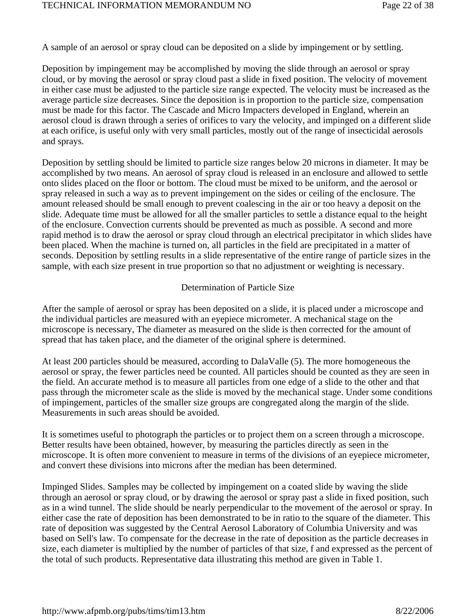A sample of an aerosol or spray cloud can be deposited on a slide by impingement or by settling.

Deposition by impingement may be accomplished by moving the slide through an aerosol or spray cloud, or by moving the aerosol or spray cloud past a slide in fixed position. The velocity of movement in either case must be adjusted to the particle size range expected. The velocity must be increased as the average particle size decreases. Since the deposition is in proportion to the particle size, compensation must be made for this factor. The Cascade and Micro Impacters developed in England, wherein an aerosol cloud is drawn through a series of orifices to vary the velocity, and impinged on a different slide at each orifice, is useful only with very small particles, mostly out of the range of insecticidal aerosols and sprays.

Deposition by settling should be limited to particle size ranges below 20 microns in diameter. It may be accomplished by two means. An aerosol of spray cloud is released in an enclosure and allowed to settle onto slides placed on the floor or bottom. The cloud must be mixed to be uniform, and the aerosol or spray released in such a way as to prevent impingement on the sides or ceiling of the enclosure. The amount released should be small enough to prevent coalescing in the air or too heavy a deposit on the slide. Adequate time must be allowed for all the smaller particles to settle a distance equal to the height of the enclosure. Convection currents should be prevented as much as possible. A second and more rapid method is to draw the aerosol or spray cloud through an electrical precipitator in which slides have been placed. When the machine is turned on, all particles in the field are precipitated in a matter of seconds. Deposition by settling results in a slide representative of the entire range of particle sizes in the sample, with each size present in true proportion so that no adjustment or weighting is necessary.

#### Determination of Particle Size

After the sample of aerosol or spray has been deposited on a slide, it is placed under a microscope and the individual particles are measured with an eyepiece micrometer. A mechanical stage on the microscope is necessary, The diameter as measured on the slide is then corrected for the amount of spread that has taken place, and the diameter of the original sphere is determined.

At least 200 particles should be measured, according to DalaValle (5). The more homogeneous the aerosol or spray, the fewer particles need be counted. All particles should be counted as they are seen in the field. An accurate method is to measure all particles from one edge of a slide to the other and that pass through the micrometer scale as the slide is moved by the mechanical stage. Under some conditions of impingement, particles of the smaller size groups are congregated along the margin of the slide. Measurements in such areas should be avoided.

It is sometimes useful to photograph the particles or to project them on a screen through a microscope. Better results have been obtained, however, by measuring the particles directly as seen in the microscope. It is often more convenient to measure in terms of the divisions of an eyepiece micrometer, and convert these divisions into microns after the median has been determined.

Impinged Slides. Samples may be collected by impingement on a coated slide by waving the slide through an aerosol or spray cloud, or by drawing the aerosol or spray past a slide in fixed position, such as in a wind tunnel. The slide should be nearly perpendicular to the movement of the aerosol or spray. In either case the rate of deposition has been demonstrated to be in ratio to the square of the diameter. This rate of deposition was suggested by the Central Aerosol Laboratory of Columbia University and was based on Sell's law. To compensate for the decrease in the rate of deposition as the particle decreases in size, each diameter is multiplied by the number of particles of that size, f and expressed as the percent of the total of such products. Representative data illustrating this method are given in Table 1.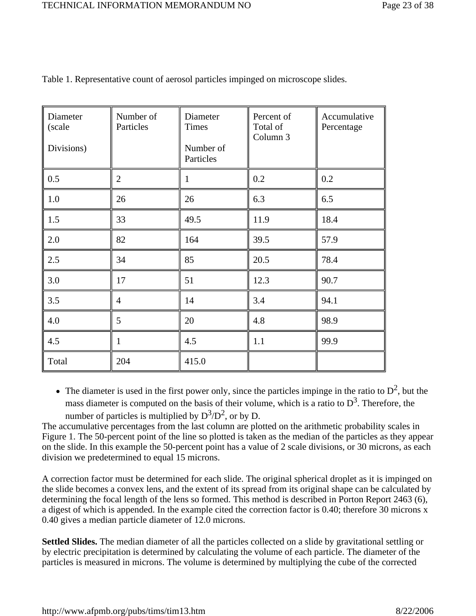| Diameter<br>(scale<br>Divisions) | Number of<br>Particles | Diameter<br>Times<br>Number of<br>Particles | Percent of<br>Total of<br>Column 3 | Accumulative<br>Percentage |
|----------------------------------|------------------------|---------------------------------------------|------------------------------------|----------------------------|
| 0.5                              | $\overline{2}$         | $\mathbf{1}$                                | 0.2                                | 0.2                        |
| $1.0\,$                          | 26                     | 26                                          | 6.3                                | 6.5                        |
| 1.5                              | 33                     | 49.5                                        | 11.9                               | 18.4                       |
| 2.0                              | 82                     | 164                                         | 39.5                               | 57.9                       |
| 2.5                              | 34                     | 85                                          | 20.5                               | 78.4                       |
| 3.0                              | 17                     | 51                                          | 12.3                               | 90.7                       |
| 3.5                              | $\overline{4}$         | 14                                          | 3.4                                | 94.1                       |
| 4.0                              | 5                      | 20                                          | 4.8                                | 98.9                       |
| 4.5                              | 1                      | 4.5                                         | 1.1                                | 99.9                       |
| Total                            | 204                    | 415.0                                       |                                    |                            |

Table 1. Representative count of aerosol particles impinged on microscope slides.

• The diameter is used in the first power only, since the particles impinge in the ratio to  $D^2$ , but the mass diameter is computed on the basis of their volume, which is a ratio to  $D<sup>3</sup>$ . Therefore, the number of particles is multiplied by  $D^3/D^2$ , or by D.

The accumulative percentages from the last column are plotted on the arithmetic probability scales in Figure 1. The 50-percent point of the line so plotted is taken as the median of the particles as they appear on the slide. In this example the 50-percent point has a value of 2 scale divisions, or 30 microns, as each division we predetermined to equal 15 microns.

A correction factor must be determined for each slide. The original spherical droplet as it is impinged on the slide becomes a convex lens, and the extent of its spread from its original shape can be calculated by determining the focal length of the lens so formed. This method is described in Porton Report 2463 (6), a digest of which is appended. In the example cited the correction factor is 0.40; therefore 30 microns x 0.40 gives a median particle diameter of 12.0 microns.

**Settled Slides.** The median diameter of all the particles collected on a slide by gravitational settling or by electric precipitation is determined by calculating the volume of each particle. The diameter of the particles is measured in microns. The volume is determined by multiplying the cube of the corrected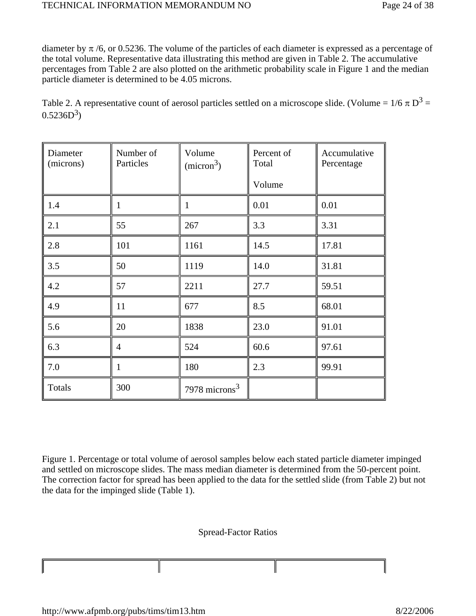diameter by  $\pi/6$ , or 0.5236. The volume of the particles of each diameter is expressed as a percentage of the total volume. Representative data illustrating this method are given in Table 2. The accumulative percentages from Table 2 are also plotted on the arithmetic probability scale in Figure 1 and the median particle diameter is determined to be 4.05 microns.

Table 2. A representative count of aerosol particles settled on a microscope slide. (Volume =  $1/6 \pi D^3$  =  $0.5236D^3$ 

| Diameter<br>(microns) | Number of<br>Particles | Volume<br>(micron <sup>3</sup> ) | Percent of<br>Total | Accumulative<br>Percentage |
|-----------------------|------------------------|----------------------------------|---------------------|----------------------------|
|                       |                        |                                  | Volume              |                            |
| 1.4                   | 1                      | $\mathbf{1}$                     | 0.01                | 0.01                       |
| 2.1                   | 55                     | 267                              | 3.3                 | 3.31                       |
| 2.8                   | 101                    | 1161                             | 14.5                | 17.81                      |
| 3.5                   | 50                     | 1119                             | 14.0                | 31.81                      |
| 4.2                   | 57                     | 2211                             | 27.7                | 59.51                      |
| 4.9                   | 11                     | 677                              | 8.5                 | 68.01                      |
| 5.6                   | 20                     | 1838                             | 23.0                | 91.01                      |
| 6.3                   | $\overline{4}$         | 524                              | 60.6                | 97.61                      |
| 7.0                   | 1                      | 180                              | 2.3                 | 99.91                      |
| <b>Totals</b>         | 300                    | 7978 microns $3$                 |                     |                            |

Figure 1. Percentage or total volume of aerosol samples below each stated particle diameter impinged and settled on microscope slides. The mass median diameter is determined from the 50-percent point. The correction factor for spread has been applied to the data for the settled slide (from Table 2) but not the data for the impinged slide (Table 1).

Spread-Factor Ratios

I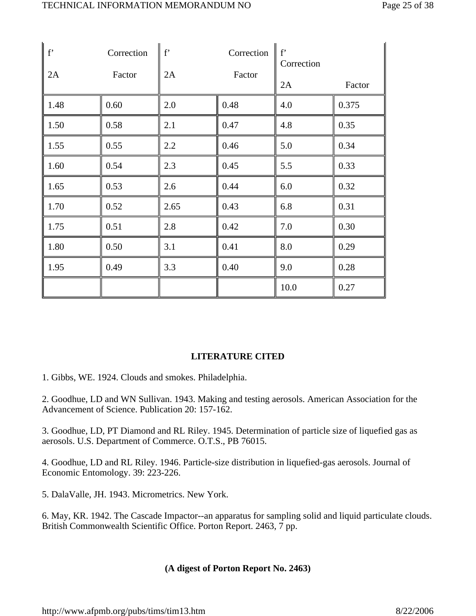| $\vert$ f | Correction | $f^{\prime}$ | Correction | $f^{\prime}$<br>Correction |        |
|-----------|------------|--------------|------------|----------------------------|--------|
| 2A        | Factor     | 2A           | Factor     | 2A                         | Factor |
| 1.48      | 0.60       | 2.0          | 0.48       | 4.0                        | 0.375  |
| 1.50      | 0.58       | 2.1          | 0.47       | 4.8                        | 0.35   |
| 1.55      | 0.55       | 2.2          | 0.46       | 5.0                        | 0.34   |
| 1.60      | 0.54       | 2.3          | 0.45       | 5.5                        | 0.33   |
| 1.65      | 0.53       | 2.6          | 0.44       | 6.0                        | 0.32   |
| 1.70      | 0.52       | 2.65         | 0.43       | 6.8                        | 0.31   |
| 1.75      | 0.51       | 2.8          | 0.42       | 7.0                        | 0.30   |
| 1.80      | 0.50       | 3.1          | 0.41       | 8.0                        | 0.29   |
| 1.95      | 0.49       | 3.3          | 0.40       | 9.0                        | 0.28   |
|           |            |              |            | 10.0                       | 0.27   |

### **LITERATURE CITED**

1. Gibbs, WE. 1924. Clouds and smokes. Philadelphia.

2. Goodhue, LD and WN Sullivan. 1943. Making and testing aerosols. American Association for the Advancement of Science. Publication 20: 157-162.

3. Goodhue, LD, PT Diamond and RL Riley. 1945. Determination of particle size of liquefied gas as aerosols. U.S. Department of Commerce. O.T.S., PB 76015.

4. Goodhue, LD and RL Riley. 1946. Particle-size distribution in liquefied-gas aerosols. Journal of Economic Entomology. 39: 223-226.

5. DalaValle, JH. 1943. Micrometrics. New York.

6. May, KR. 1942. The Cascade Impactor--an apparatus for sampling solid and liquid particulate clouds. British Commonwealth Scientific Office. Porton Report. 2463, 7 pp.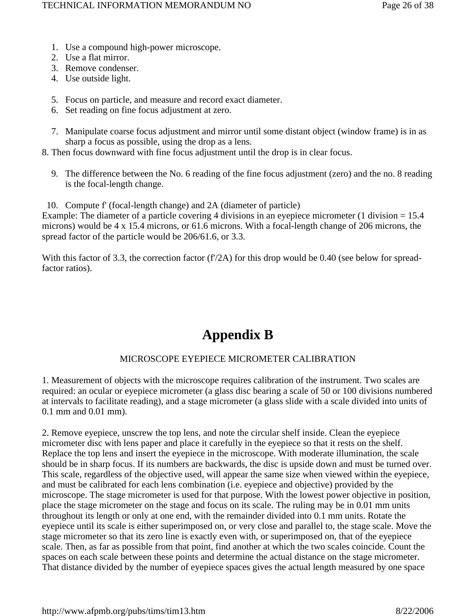- 1. Use a compound high-power microscope.
- 2. Use a flat mirror.
- 3. Remove condenser.
- 4. Use outside light.
- 5. Focus on particle, and measure and record exact diameter.
- 6. Set reading on fine focus adjustment at zero.
- 7. Manipulate coarse focus adjustment and mirror until some distant object (window frame) is in as sharp a focus as possible, using the drop as a lens.
- 8. Then focus downward with fine focus adjustment until the drop is in clear focus.
	- 9. The difference between the No. 6 reading of the fine focus adjustment (zero) and the no. 8 reading is the focal-length change.

10. Compute f' (focal-length change) and 2A (diameter of particle) Example: The diameter of a particle covering 4 divisions in an eyepiece micrometer (1 division = 15.4) microns) would be 4 x 15.4 microns, or 61.6 microns. With a focal-length change of 206 microns, the spread factor of the particle would be 206/61.6, or 3.3.

With this factor of 3.3, the correction factor ( $f'/2A$ ) for this drop would be 0.40 (see below for spreadfactor ratios).

### **Appendix B**

#### MICROSCOPE EYEPIECE MICROMETER CALIBRATION

1. Measurement of objects with the microscope requires calibration of the instrument. Two scales are required: an ocular or eyepiece micrometer (a glass disc bearing a scale of 50 or 100 divisions numbered at intervals to facilitate reading), and a stage micrometer (a glass slide with a scale divided into units of 0.1 mm and 0.01 mm).

2. Remove eyepiece, unscrew the top lens, and note the circular shelf inside. Clean the eyepiece micrometer disc with lens paper and place it carefully in the eyepiece so that it rests on the shelf. Replace the top lens and insert the eyepiece in the microscope. With moderate illumination, the scale should be in sharp focus. If its numbers are backwards, the disc is upside down and must be turned over. This scale, regardless of the objective used, will appear the same size when viewed within the eyepiece, and must be calibrated for each lens combination (i.e. eyepiece and objective) provided by the microscope. The stage micrometer is used for that purpose. With the lowest power objective in position, place the stage micrometer on the stage and focus on its scale. The ruling may be in 0.01 mm units throughout its length or only at one end, with the remainder divided into 0.1 mm units. Rotate the eyepiece until its scale is either superimposed on, or very close and parallel to, the stage scale. Move the stage micrometer so that its zero line is exactly even with, or superimposed on, that of the eyepiece scale. Then, as far as possible from that point, find another at which the two scales coincide. Count the spaces on each scale between these points and determine the actual distance on the stage micrometer. That distance divided by the number of eyepiece spaces gives the actual length measured by one space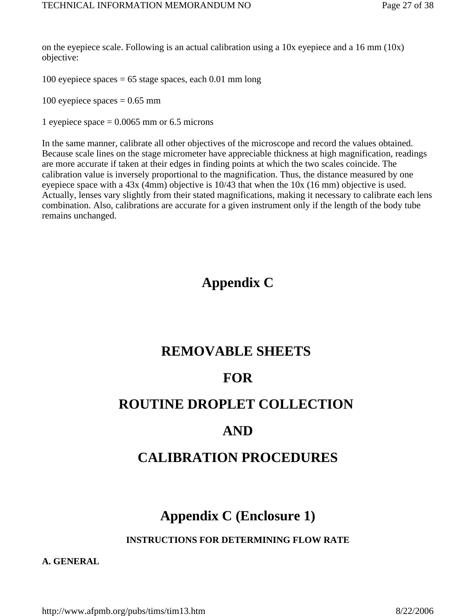on the eyepiece scale. Following is an actual calibration using a  $10x$  eyepiece and a  $16 \text{ mm } (10x)$ objective:

100 eyepiece spaces  $= 65$  stage spaces, each 0.01 mm long

100 eyepiece spaces  $= 0.65$  mm

1 eyepiece space  $= 0.0065$  mm or 6.5 microns

In the same manner, calibrate all other objectives of the microscope and record the values obtained. Because scale lines on the stage micrometer have appreciable thickness at high magnification, readings are more accurate if taken at their edges in finding points at which the two scales coincide. The calibration value is inversely proportional to the magnification. Thus, the distance measured by one eyepiece space with a 43x (4mm) objective is 10/43 that when the 10x (16 mm) objective is used. Actually, lenses vary slightly from their stated magnifications, making it necessary to calibrate each lens combination. Also, calibrations are accurate for a given instrument only if the length of the body tube remains unchanged.

### **Appendix C**

### **REMOVABLE SHEETS**

### **FOR**

### **ROUTINE DROPLET COLLECTION**

### **AND**

### **CALIBRATION PROCEDURES**

### **Appendix C (Enclosure 1)**

**INSTRUCTIONS FOR DETERMINING FLOW RATE**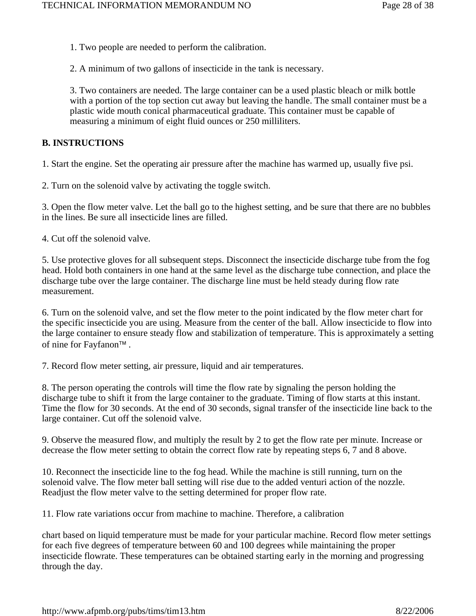1. Two people are needed to perform the calibration.

2. A minimum of two gallons of insecticide in the tank is necessary.

3. Two containers are needed. The large container can be a used plastic bleach or milk bottle with a portion of the top section cut away but leaving the handle. The small container must be a plastic wide mouth conical pharmaceutical graduate. This container must be capable of measuring a minimum of eight fluid ounces or 250 milliliters.

### **B. INSTRUCTIONS**

1. Start the engine. Set the operating air pressure after the machine has warmed up, usually five psi.

2. Turn on the solenoid valve by activating the toggle switch.

3. Open the flow meter valve. Let the ball go to the highest setting, and be sure that there are no bubbles in the lines. Be sure all insecticide lines are filled.

4. Cut off the solenoid valve.

5. Use protective gloves for all subsequent steps. Disconnect the insecticide discharge tube from the fog head. Hold both containers in one hand at the same level as the discharge tube connection, and place the discharge tube over the large container. The discharge line must be held steady during flow rate measurement.

6. Turn on the solenoid valve, and set the flow meter to the point indicated by the flow meter chart for the specific insecticide you are using. Measure from the center of the ball. Allow insecticide to flow into the large container to ensure steady flow and stabilization of temperature. This is approximately a setting of nine for Fayfanon™ .

7. Record flow meter setting, air pressure, liquid and air temperatures.

8. The person operating the controls will time the flow rate by signaling the person holding the discharge tube to shift it from the large container to the graduate. Timing of flow starts at this instant. Time the flow for 30 seconds. At the end of 30 seconds, signal transfer of the insecticide line back to the large container. Cut off the solenoid valve.

9. Observe the measured flow, and multiply the result by 2 to get the flow rate per minute. Increase or decrease the flow meter setting to obtain the correct flow rate by repeating steps 6, 7 and 8 above.

10. Reconnect the insecticide line to the fog head. While the machine is still running, turn on the solenoid valve. The flow meter ball setting will rise due to the added venturi action of the nozzle. Readjust the flow meter valve to the setting determined for proper flow rate.

11. Flow rate variations occur from machine to machine. Therefore, a calibration

chart based on liquid temperature must be made for your particular machine. Record flow meter settings for each five degrees of temperature between 60 and 100 degrees while maintaining the proper insecticide flowrate. These temperatures can be obtained starting early in the morning and progressing through the day.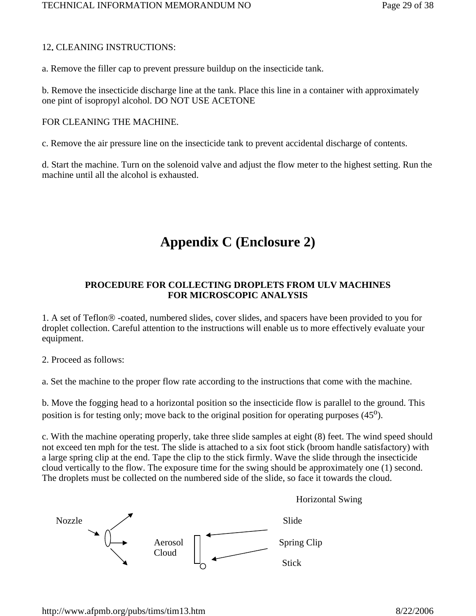#### 12**.** CLEANING INSTRUCTIONS:

a. Remove the filler cap to prevent pressure buildup on the insecticide tank.

b. Remove the insecticide discharge line at the tank. Place this line in a container with approximately one pint of isopropyl alcohol. DO NOT USE ACETONE

#### FOR CLEANING THE MACHINE.

c. Remove the air pressure line on the insecticide tank to prevent accidental discharge of contents.

d. Start the machine. Turn on the solenoid valve and adjust the flow meter to the highest setting. Run the machine until all the alcohol is exhausted.

### **Appendix C (Enclosure 2)**

### **PROCEDURE FOR COLLECTING DROPLETS FROM ULV MACHINES FOR MICROSCOPIC ANALYSIS**

1. A set of Teflon® -coated, numbered slides, cover slides, and spacers have been provided to you for droplet collection. Careful attention to the instructions will enable us to more effectively evaluate your equipment.

2. Proceed as follows:

a. Set the machine to the proper flow rate according to the instructions that come with the machine.

b. Move the fogging head to a horizontal position so the insecticide flow is parallel to the ground. This position is for testing only; move back to the original position for operating purposes  $(45^{\circ})$ .

c. With the machine operating properly, take three slide samples at eight (8) feet. The wind speed should not exceed ten mph for the test. The slide is attached to a six foot stick (broom handle satisfactory) with a large spring clip at the end. Tape the clip to the stick firmly. Wave the slide through the insecticide cloud vertically to the flow. The exposure time for the swing should be approximately one (1) second. The droplets must be collected on the numbered side of the slide, so face it towards the cloud.

Horizontal Swing

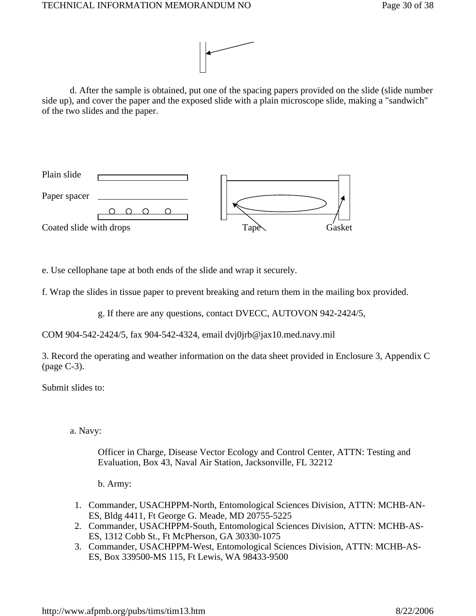

 d. After the sample is obtained, put one of the spacing papers provided on the slide (slide number side up), and cover the paper and the exposed slide with a plain microscope slide, making a "sandwich" of the two slides and the paper.



e. Use cellophane tape at both ends of the slide and wrap it securely.

f. Wrap the slides in tissue paper to prevent breaking and return them in the mailing box provided.

g. If there are any questions, contact DVECC, AUTOVON 942-2424/5,

COM 904-542-2424/5, fax 904-542-4324, email dvj0jrb@jax10.med.navy.mil

3. Record the operating and weather information on the data sheet provided in Enclosure 3, Appendix C (page C-3).

Submit slides to:

a. Navy:

Officer in Charge, Disease Vector Ecology and Control Center, ATTN: Testing and Evaluation, Box 43, Naval Air Station, Jacksonville, FL 32212

- b. Army:
- 1. Commander, USACHPPM-North, Entomological Sciences Division, ATTN: MCHB-AN-ES, Bldg 4411, Ft George G. Meade, MD 20755-5225
- 2. Commander, USACHPPM-South, Entomological Sciences Division, ATTN: MCHB-AS-ES, 1312 Cobb St., Ft McPherson, GA 30330-1075
- 3. Commander, USACHPPM-West, Entomological Sciences Division, ATTN: MCHB-AS-ES, Box 339500-MS 115, Ft Lewis, WA 98433-9500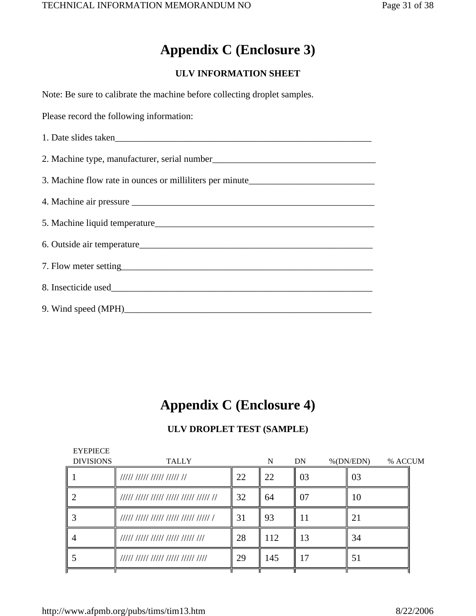### **Appendix C (Enclosure 3)**

### **ULV INFORMATION SHEET**

| Note: Be sure to calibrate the machine before collecting droplet samples.        |
|----------------------------------------------------------------------------------|
| Please record the following information:                                         |
| 1. Date slides taken                                                             |
|                                                                                  |
| 3. Machine flow rate in ounces or milliliters per minute________________________ |
|                                                                                  |
|                                                                                  |
|                                                                                  |
|                                                                                  |
|                                                                                  |
|                                                                                  |

### **Appendix C (Enclosure 4)**

### **ULV DROPLET TEST (SAMPLE)**

| <b>EYEPIECE</b>  |                                       |    |     |    |                         |  |
|------------------|---------------------------------------|----|-----|----|-------------------------|--|
| <b>DIVISIONS</b> | <b>TALLY</b>                          |    | N   | DN | $%$ (DN/EDN)<br>% ACCUM |  |
|                  |                                       | 22 | 22  | 03 | 03                      |  |
|                  | 1111 1111 1111 1111 1111 1111 1111 11 | 32 | 64  | 07 | 10                      |  |
|                  | 1111 1111 1111 1111 1111 1111 1       | 31 | 93  |    | 21                      |  |
|                  | 1111 1111 1111 1111 1111 111          | 28 | 112 | 13 | 34                      |  |
|                  | 11111 11111 11111 11111 11111 1111    | 29 | 145 | 17 | 51                      |  |
|                  |                                       |    |     |    |                         |  |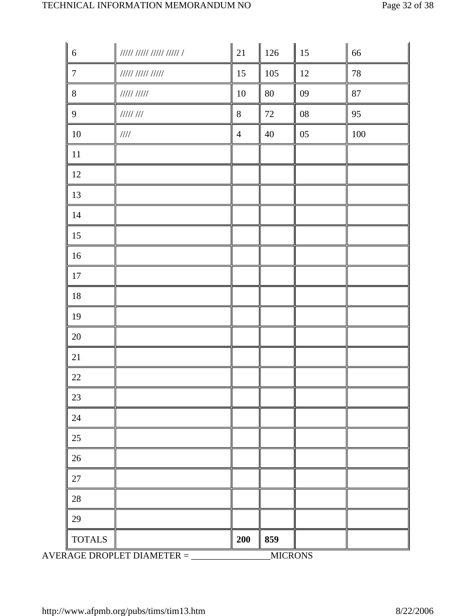| $\sqrt{6}$       | $\begin{array}{c} \textit{HHHHHHHH1} \\ \textit{HHHH1} \end{array}$ | 21             | 126            | 15         | 66      |
|------------------|---------------------------------------------------------------------|----------------|----------------|------------|---------|
| $\boldsymbol{7}$ | ///// ///// /////                                                   | 15             | 105            | $12\,$     | $78\,$  |
| $8\,$            | $11111$ $11111$                                                     | $10\,$         | 80             | 09         | 87      |
| 9                | 111111111                                                           | $8\,$          | 72             | ${\bf 08}$ | 95      |
| $10\,$           | $\frac{1}{1}$                                                       | $\overline{4}$ | 40             | 05         | $100\,$ |
| $11\,$           |                                                                     |                |                |            |         |
| 12               |                                                                     |                |                |            |         |
| 13               |                                                                     |                |                |            |         |
| $14$             |                                                                     |                |                |            |         |
| 15               |                                                                     |                |                |            |         |
| 16               |                                                                     |                |                |            |         |
| $17\,$           |                                                                     |                |                |            |         |
| $18\,$           |                                                                     |                |                |            |         |
| 19               |                                                                     |                |                |            |         |
| $20\,$           |                                                                     |                |                |            |         |
| 21               |                                                                     |                |                |            |         |
| $22\,$           |                                                                     |                |                |            |         |
| 23               |                                                                     |                |                |            |         |
| 24               |                                                                     |                |                |            |         |
| 25               |                                                                     |                |                |            |         |
| 26               |                                                                     |                |                |            |         |
| 27               |                                                                     |                |                |            |         |
| 28               |                                                                     |                |                |            |         |
| 29               |                                                                     |                |                |            |         |
| <b>TOTALS</b>    |                                                                     | <b>200</b>     | 859            |            |         |
|                  | AVERAGE DROPLET DIAMETER $=$                                        |                | <b>MICRONS</b> |            |         |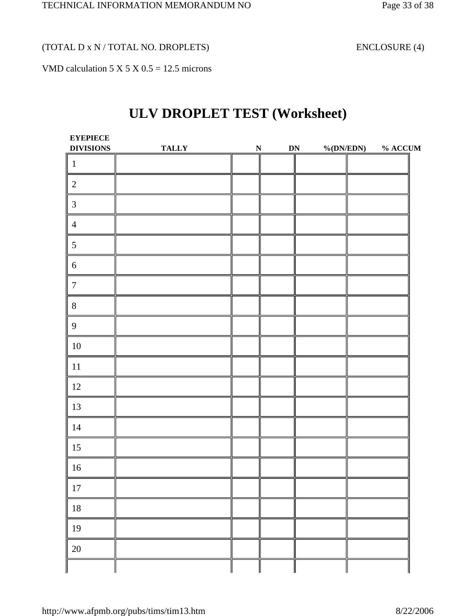(TOTAL D x N / TOTAL NO. DROPLETS) ENCLOSURE (4)

VMD calculation  $5 \times 5 \times 0.5 = 12.5$  microns

### **ULV DROPLET TEST (Worksheet)**

| <b>EYEPIECE</b><br><b>DIVISIONS</b> | <b>TALLY</b> | ${\bf N}$ | ${\bf DN}$ | %(DN/EDN) | $\%$ ACCUM |
|-------------------------------------|--------------|-----------|------------|-----------|------------|
| $\mathbf{1}$                        |              |           |            |           |            |
| $\sqrt{2}$                          |              |           |            |           |            |
| $\mathfrak{Z}$                      |              |           |            |           |            |
| $\overline{4}$                      |              |           |            |           |            |
| $\sqrt{5}$                          |              |           |            |           |            |
| $\sqrt{6}$                          |              |           |            |           |            |
| $\boldsymbol{7}$                    |              |           |            |           |            |
| $8\,$                               |              |           |            |           |            |
| $\overline{9}$                      |              |           |            |           |            |
| $10\,$                              |              |           |            |           |            |
| $11\,$                              |              |           |            |           |            |
| 12                                  |              |           |            |           |            |
| 13                                  |              |           |            |           |            |
| 14                                  |              |           |            |           |            |
| 15                                  |              |           |            |           |            |
| 16                                  |              |           |            |           |            |
| $17\,$                              |              |           |            |           |            |
| $18\,$                              |              |           |            |           |            |
| 19                                  |              |           |            |           |            |
| $20\,$                              |              |           |            |           |            |
|                                     |              |           |            |           |            |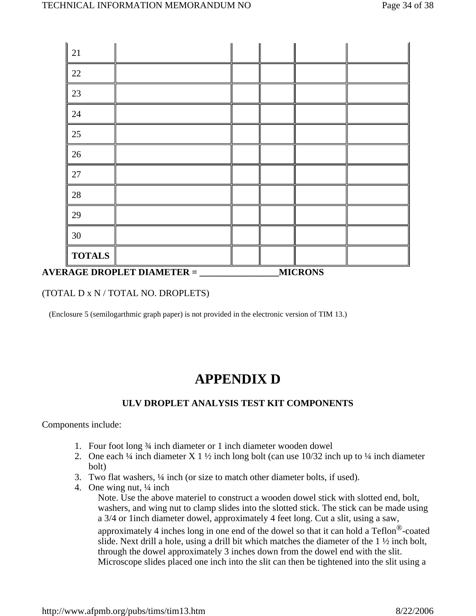| <b>AVERAGE DROPLET DIAMETER =</b> |  | <b>MICRONS</b> |  |
|-----------------------------------|--|----------------|--|
| <b>TOTALS</b>                     |  |                |  |
| 30                                |  |                |  |
| 29                                |  |                |  |
| 28                                |  |                |  |
| 27                                |  |                |  |
| 26                                |  |                |  |
| 25                                |  |                |  |
| 24                                |  |                |  |
| 23                                |  |                |  |
| 22                                |  |                |  |
| 21                                |  |                |  |
|                                   |  |                |  |

#### (TOTAL D x N / TOTAL NO. DROPLETS)

(Enclosure 5 (semilogarthmic graph paper) is not provided in the electronic version of TIM 13.)

### **APPENDIX D**

### **ULV DROPLET ANALYSIS TEST KIT COMPONENTS**

Components include:

- 1. Four foot long ¾ inch diameter or 1 inch diameter wooden dowel
- 2. One each  $\frac{1}{4}$  inch diameter X 1  $\frac{1}{2}$  inch long bolt (can use 10/32 inch up to  $\frac{1}{4}$  inch diameter bolt)
- 3. Two flat washers, ¼ inch (or size to match other diameter bolts, if used).
- 4. One wing nut,  $\frac{1}{4}$  inch

Note. Use the above materiel to construct a wooden dowel stick with slotted end, bolt, washers, and wing nut to clamp slides into the slotted stick. The stick can be made using a 3/4 or 1inch diameter dowel, approximately 4 feet long. Cut a slit, using a saw, approximately 4 inches long in one end of the dowel so that it can hold a  $Teflon^{\circledR}$ -coated slide. Next drill a hole, using a drill bit which matches the diameter of the 1 ½ inch bolt, through the dowel approximately 3 inches down from the dowel end with the slit. Microscope slides placed one inch into the slit can then be tightened into the slit using a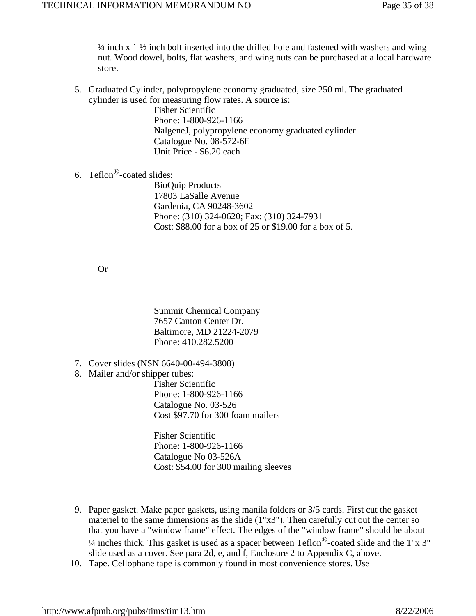$\frac{1}{4}$  inch x 1  $\frac{1}{2}$  inch bolt inserted into the drilled hole and fastened with washers and wing nut. Wood dowel, bolts, flat washers, and wing nuts can be purchased at a local hardware store.

5. Graduated Cylinder, polypropylene economy graduated, size 250 ml. The graduated cylinder is used for measuring flow rates. A source is:

> Fisher Scientific Phone: 1-800-926-1166 NalgeneJ, polypropylene economy graduated cylinder Catalogue No. 08-572-6E Unit Price - \$6.20 each

6. Teflon<sup>®</sup>-coated slides:

BioQuip Products 17803 LaSalle Avenue Gardenia, CA 90248-3602 Phone: (310) 324-0620; Fax: (310) 324-7931 Cost: \$88.00 for a box of 25 or \$19.00 for a box of 5.

Or

Summit Chemical Company 7657 Canton Center Dr. Baltimore, MD 21224-2079 Phone: 410.282.5200

- 7. Cover slides (NSN 6640-00-494-3808)
- 8. Mailer and/or shipper tubes:

Fisher Scientific Phone: 1-800-926-1166 Catalogue No. 03-526 Cost \$97.70 for 300 foam mailers

Fisher Scientific Phone: 1-800-926-1166 Catalogue No 03-526A Cost: \$54.00 for 300 mailing sleeves

- 9. Paper gasket. Make paper gaskets, using manila folders or 3/5 cards. First cut the gasket materiel to the same dimensions as the slide  $(1"x3")$ . Then carefully cut out the center so that you have a "window frame" effect. The edges of the "window frame" should be about  $\frac{1}{4}$  inches thick. This gasket is used as a spacer between Teflon<sup>®</sup>-coated slide and the 1"x 3" slide used as a cover. See para 2d, e, and f, Enclosure 2 to Appendix C, above.
- 10. Tape. Cellophane tape is commonly found in most convenience stores. Use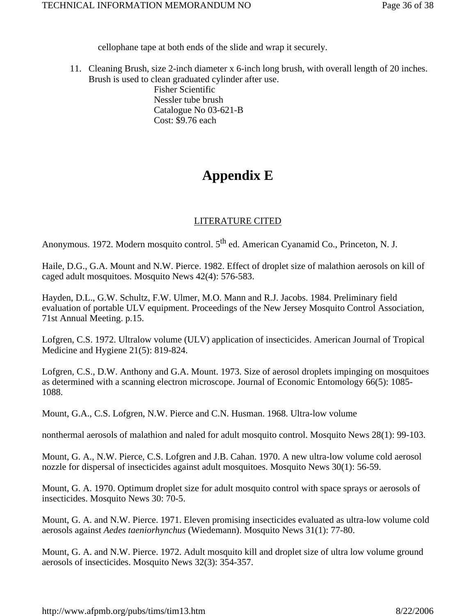cellophane tape at both ends of the slide and wrap it securely.

11. Cleaning Brush, size 2-inch diameter x 6-inch long brush, with overall length of 20 inches. Brush is used to clean graduated cylinder after use.

Fisher Scientific Nessler tube brush Catalogue No 03-621-B Cost: \$9.76 each

### **Appendix E**

### LITERATURE CITED

Anonymous. 1972. Modern mosquito control. 5<sup>th</sup> ed. American Cyanamid Co., Princeton, N. J.

Haile, D.G., G.A. Mount and N.W. Pierce. 1982. Effect of droplet size of malathion aerosols on kill of caged adult mosquitoes. Mosquito News 42(4): 576-583.

Hayden, D.L., G.W. Schultz, F.W. Ulmer, M.O. Mann and R.J. Jacobs. 1984. Preliminary field evaluation of portable ULV equipment. Proceedings of the New Jersey Mosquito Control Association, 71st Annual Meeting. p.15.

Lofgren, C.S. 1972. Ultralow volume (ULV) application of insecticides. American Journal of Tropical Medicine and Hygiene 21(5): 819-824.

Lofgren, C.S., D.W. Anthony and G.A. Mount. 1973. Size of aerosol droplets impinging on mosquitoes as determined with a scanning electron microscope. Journal of Economic Entomology 66(5): 1085- 1088.

Mount, G.A., C.S. Lofgren, N.W. Pierce and C.N. Husman. 1968. Ultra-low volume

nonthermal aerosols of malathion and naled for adult mosquito control. Mosquito News 28(1): 99-103.

Mount, G. A., N.W. Pierce, C.S. Lofgren and J.B. Cahan. 1970. A new ultra-low volume cold aerosol nozzle for dispersal of insecticides against adult mosquitoes. Mosquito News 30(1): 56-59.

Mount, G. A. 1970. Optimum droplet size for adult mosquito control with space sprays or aerosols of insecticides. Mosquito News 30: 70-5.

Mount, G. A. and N.W. Pierce. 1971. Eleven promising insecticides evaluated as ultra-low volume cold aerosols against *Aedes taeniorhynchus* (Wiedemann). Mosquito News 31(1): 77-80.

Mount, G. A. and N.W. Pierce. 1972. Adult mosquito kill and droplet size of ultra low volume ground aerosols of insecticides. Mosquito News 32(3): 354-357.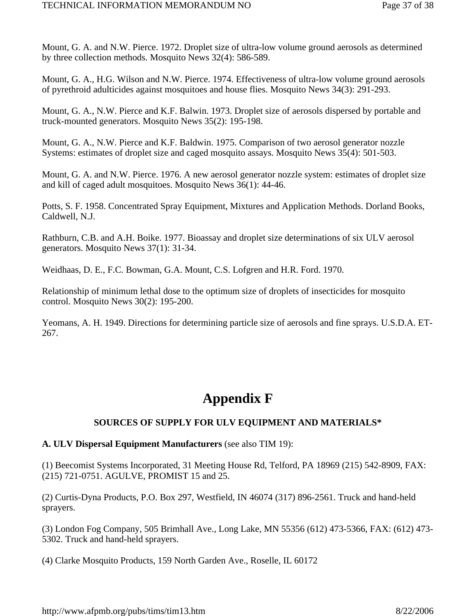Mount, G. A. and N.W. Pierce. 1972. Droplet size of ultra-low volume ground aerosols as determined by three collection methods. Mosquito News 32(4): 586-589.

Mount, G. A., H.G. Wilson and N.W. Pierce. 1974. Effectiveness of ultra-low volume ground aerosols of pyrethroid adulticides against mosquitoes and house flies. Mosquito News 34(3): 291-293.

Mount, G. A., N.W. Pierce and K.F. Balwin. 1973. Droplet size of aerosols dispersed by portable and truck-mounted generators. Mosquito News 35(2): 195-198.

Mount, G. A., N.W. Pierce and K.F. Baldwin. 1975. Comparison of two aerosol generator nozzle Systems: estimates of droplet size and caged mosquito assays. Mosquito News 35(4): 501-503.

Mount, G. A. and N.W. Pierce. 1976. A new aerosol generator nozzle system: estimates of droplet size and kill of caged adult mosquitoes. Mosquito News 36(1): 44-46.

Potts, S. F. 1958. Concentrated Spray Equipment, Mixtures and Application Methods. Dorland Books, Caldwell, N.J.

Rathburn, C.B. and A.H. Boike. 1977. Bioassay and droplet size determinations of six ULV aerosol generators. Mosquito News 37(1): 31-34.

Weidhaas, D. E., F.C. Bowman, G.A. Mount, C.S. Lofgren and H.R. Ford. 1970.

Relationship of minimum lethal dose to the optimum size of droplets of insecticides for mosquito control. Mosquito News 30(2): 195-200.

Yeomans, A. H. 1949. Directions for determining particle size of aerosols and fine sprays. U.S.D.A. ET-267.

### **Appendix F**

### **SOURCES OF SUPPLY FOR ULV EQUIPMENT AND MATERIALS\***

### **A. ULV Dispersal Equipment Manufacturers** (see also TIM 19):

(1) Beecomist Systems Incorporated, 31 Meeting House Rd, Telford, PA 18969 (215) 542-8909, FAX: (215) 721-0751. AGULVE, PROMIST 15 and 25.

(2) Curtis-Dyna Products, P.O. Box 297, Westfield, IN 46074 (317) 896-2561. Truck and hand-held sprayers.

(3) London Fog Company, 505 Brimhall Ave., Long Lake, MN 55356 (612) 473-5366, FAX: (612) 473- 5302. Truck and hand-held sprayers.

(4) Clarke Mosquito Products, 159 North Garden Ave., Roselle, IL 60172